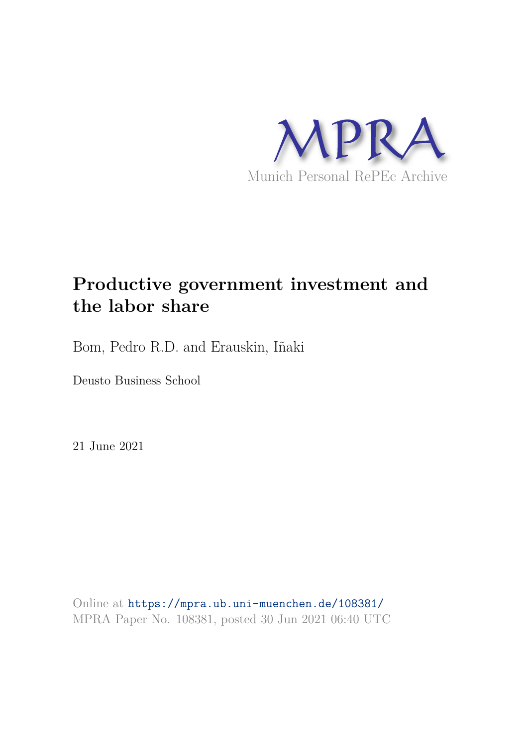

# **Productive government investment and the labor share**

Bom, Pedro R.D. and Erauskin, Iñaki

Deusto Business School

21 June 2021

Online at https://mpra.ub.uni-muenchen.de/108381/ MPRA Paper No. 108381, posted 30 Jun 2021 06:40 UTC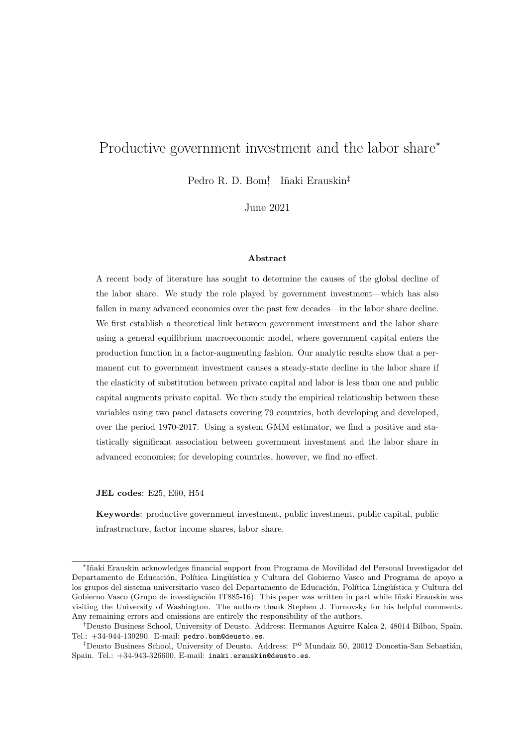## Productive government investment and the labor share<sup>∗</sup>

Pedro R. D. Bom<sup>†</sup> Iñaki Erauskin<sup>‡</sup>

June 2021

#### Abstract

A recent body of literature has sought to determine the causes of the global decline of the labor share. We study the role played by government investment—which has also fallen in many advanced economies over the past few decades—in the labor share decline. We first establish a theoretical link between government investment and the labor share using a general equilibrium macroeconomic model, where government capital enters the production function in a factor-augmenting fashion. Our analytic results show that a permanent cut to government investment causes a steady-state decline in the labor share if the elasticity of substitution between private capital and labor is less than one and public capital augments private capital. We then study the empirical relationship between these variables using two panel datasets covering 79 countries, both developing and developed, over the period 1970-2017. Using a system GMM estimator, we find a positive and statistically significant association between government investment and the labor share in advanced economies; for developing countries, however, we find no effect.

JEL codes: E25, E60, H54

Keywords: productive government investment, public investment, public capital, public infrastructure, factor income shares, labor share.

<sup>∗</sup> I˜naki Erauskin acknowledges financial support from Programa de Movilidad del Personal Investigador del Departamento de Educación, Política Lingüística y Cultura del Gobierno Vasco and Programa de apoyo a los grupos del sistema universitario vasco del Departamento de Educación, Política Lingüística y Cultura del Gobierno Vasco (Grupo de investigación IT885-16). This paper was written in part while Iñaki Erauskin was visiting the University of Washington. The authors thank Stephen J. Turnovsky for his helpful comments. Any remaining errors and omissions are entirely the responsibility of the authors.

<sup>†</sup>Deusto Business School, University of Deusto. Address: Hermanos Aguirre Kalea 2, 48014 Bilbao, Spain. Tel.: +34-944-139290. E-mail: pedro.bom@deusto.es.

<sup>&</sup>lt;sup>‡</sup>Deusto Business School, University of Deusto. Address:  $P^{\Omega}$  Mundaiz 50, 20012 Donostia-San Sebastián, Spain. Tel.: +34-943-326600, E-mail: inaki.erauskin@deusto.es.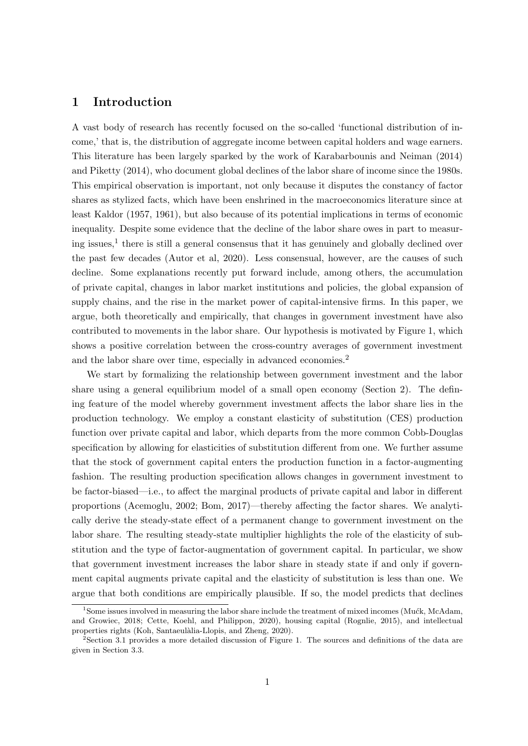## 1 Introduction

A vast body of research has recently focused on the so-called 'functional distribution of income,' that is, the distribution of aggregate income between capital holders and wage earners. This literature has been largely sparked by the work of Karabarbounis and Neiman (2014) and Piketty (2014), who document global declines of the labor share of income since the 1980s. This empirical observation is important, not only because it disputes the constancy of factor shares as stylized facts, which have been enshrined in the macroeconomics literature since at least Kaldor (1957, 1961), but also because of its potential implications in terms of economic inequality. Despite some evidence that the decline of the labor share owes in part to measuring issues,<sup>1</sup> there is still a general consensus that it has genuinely and globally declined over the past few decades (Autor et al, 2020). Less consensual, however, are the causes of such decline. Some explanations recently put forward include, among others, the accumulation of private capital, changes in labor market institutions and policies, the global expansion of supply chains, and the rise in the market power of capital-intensive firms. In this paper, we argue, both theoretically and empirically, that changes in government investment have also contributed to movements in the labor share. Our hypothesis is motivated by Figure 1, which shows a positive correlation between the cross-country averages of government investment and the labor share over time, especially in advanced economies.<sup>2</sup>

We start by formalizing the relationship between government investment and the labor share using a general equilibrium model of a small open economy (Section 2). The defining feature of the model whereby government investment affects the labor share lies in the production technology. We employ a constant elasticity of substitution (CES) production function over private capital and labor, which departs from the more common Cobb-Douglas specification by allowing for elasticities of substitution different from one. We further assume that the stock of government capital enters the production function in a factor-augmenting fashion. The resulting production specification allows changes in government investment to be factor-biased—i.e., to affect the marginal products of private capital and labor in different proportions (Acemoglu, 2002; Bom, 2017)—thereby affecting the factor shares. We analytically derive the steady-state effect of a permanent change to government investment on the labor share. The resulting steady-state multiplier highlights the role of the elasticity of substitution and the type of factor-augmentation of government capital. In particular, we show that government investment increases the labor share in steady state if and only if government capital augments private capital and the elasticity of substitution is less than one. We argue that both conditions are empirically plausible. If so, the model predicts that declines

<sup>&</sup>lt;sup>1</sup>Some issues involved in measuring the labor share include the treatment of mixed incomes (Mućk, McAdam, and Growiec, 2018; Cette, Koehl, and Philippon, 2020), housing capital (Rognlie, 2015), and intellectual properties rights (Koh, Santaeulàlia-Llopis, and Zheng, 2020).

 $2$ Section 3.1 provides a more detailed discussion of Figure 1. The sources and definitions of the data are given in Section 3.3.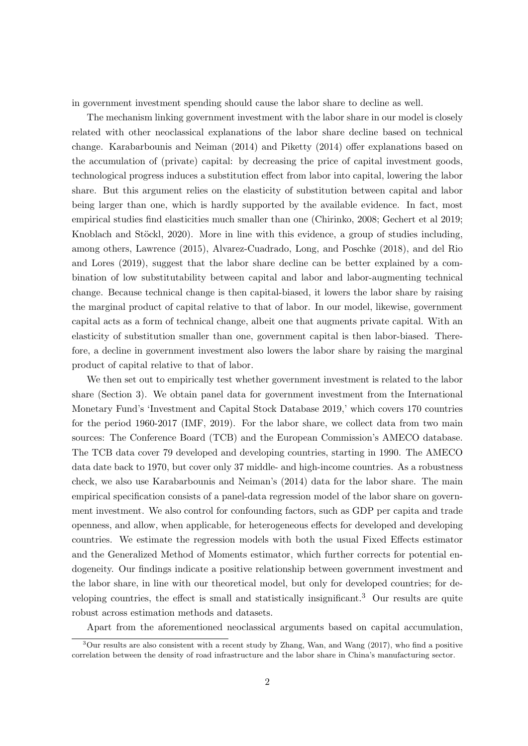in government investment spending should cause the labor share to decline as well.

The mechanism linking government investment with the labor share in our model is closely related with other neoclassical explanations of the labor share decline based on technical change. Karabarbounis and Neiman (2014) and Piketty (2014) offer explanations based on the accumulation of (private) capital: by decreasing the price of capital investment goods, technological progress induces a substitution effect from labor into capital, lowering the labor share. But this argument relies on the elasticity of substitution between capital and labor being larger than one, which is hardly supported by the available evidence. In fact, most empirical studies find elasticities much smaller than one (Chirinko, 2008; Gechert et al 2019; Knoblach and Stöckl, 2020). More in line with this evidence, a group of studies including, among others, Lawrence (2015), Alvarez-Cuadrado, Long, and Poschke (2018), and del Rio and Lores (2019), suggest that the labor share decline can be better explained by a combination of low substitutability between capital and labor and labor-augmenting technical change. Because technical change is then capital-biased, it lowers the labor share by raising the marginal product of capital relative to that of labor. In our model, likewise, government capital acts as a form of technical change, albeit one that augments private capital. With an elasticity of substitution smaller than one, government capital is then labor-biased. Therefore, a decline in government investment also lowers the labor share by raising the marginal product of capital relative to that of labor.

We then set out to empirically test whether government investment is related to the labor share (Section 3). We obtain panel data for government investment from the International Monetary Fund's 'Investment and Capital Stock Database 2019,' which covers 170 countries for the period 1960-2017 (IMF, 2019). For the labor share, we collect data from two main sources: The Conference Board (TCB) and the European Commission's AMECO database. The TCB data cover 79 developed and developing countries, starting in 1990. The AMECO data date back to 1970, but cover only 37 middle- and high-income countries. As a robustness check, we also use Karabarbounis and Neiman's (2014) data for the labor share. The main empirical specification consists of a panel-data regression model of the labor share on government investment. We also control for confounding factors, such as GDP per capita and trade openness, and allow, when applicable, for heterogeneous effects for developed and developing countries. We estimate the regression models with both the usual Fixed Effects estimator and the Generalized Method of Moments estimator, which further corrects for potential endogeneity. Our findings indicate a positive relationship between government investment and the labor share, in line with our theoretical model, but only for developed countries; for developing countries, the effect is small and statistically insignificant.<sup>3</sup> Our results are quite robust across estimation methods and datasets.

Apart from the aforementioned neoclassical arguments based on capital accumulation,

<sup>3</sup>Our results are also consistent with a recent study by Zhang, Wan, and Wang (2017), who find a positive correlation between the density of road infrastructure and the labor share in China's manufacturing sector.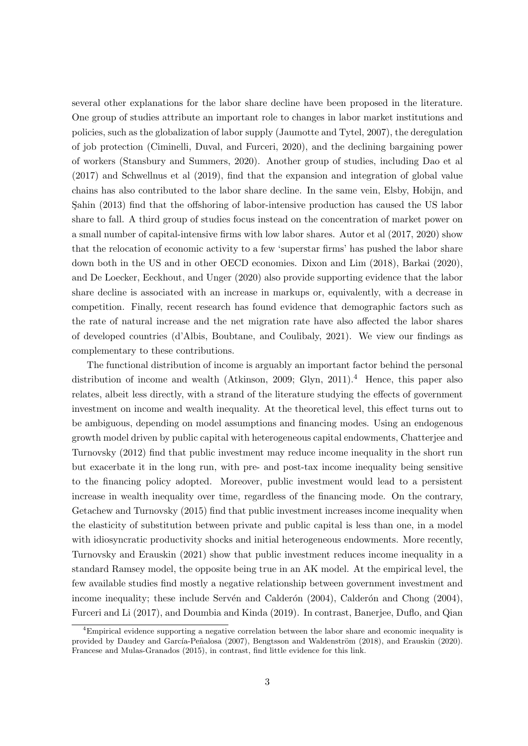several other explanations for the labor share decline have been proposed in the literature. One group of studies attribute an important role to changes in labor market institutions and policies, such as the globalization of labor supply (Jaumotte and Tytel, 2007), the deregulation of job protection (Ciminelli, Duval, and Furceri, 2020), and the declining bargaining power of workers (Stansbury and Summers, 2020). Another group of studies, including Dao et al (2017) and Schwellnus et al (2019), find that the expansion and integration of global value chains has also contributed to the labor share decline. In the same vein, Elsby, Hobijn, and Sahin (2013) find that the offshoring of labor-intensive production has caused the US labor share to fall. A third group of studies focus instead on the concentration of market power on a small number of capital-intensive firms with low labor shares. Autor et al (2017, 2020) show that the relocation of economic activity to a few 'superstar firms' has pushed the labor share down both in the US and in other OECD economies. Dixon and Lim (2018), Barkai (2020), and De Loecker, Eeckhout, and Unger (2020) also provide supporting evidence that the labor share decline is associated with an increase in markups or, equivalently, with a decrease in competition. Finally, recent research has found evidence that demographic factors such as the rate of natural increase and the net migration rate have also affected the labor shares of developed countries (d'Albis, Boubtane, and Coulibaly, 2021). We view our findings as complementary to these contributions.

The functional distribution of income is arguably an important factor behind the personal distribution of income and wealth (Atkinson, 2009; Glyn, 2011).<sup>4</sup> Hence, this paper also relates, albeit less directly, with a strand of the literature studying the effects of government investment on income and wealth inequality. At the theoretical level, this effect turns out to be ambiguous, depending on model assumptions and financing modes. Using an endogenous growth model driven by public capital with heterogeneous capital endowments, Chatterjee and Turnovsky (2012) find that public investment may reduce income inequality in the short run but exacerbate it in the long run, with pre- and post-tax income inequality being sensitive to the financing policy adopted. Moreover, public investment would lead to a persistent increase in wealth inequality over time, regardless of the financing mode. On the contrary, Getachew and Turnovsky (2015) find that public investment increases income inequality when the elasticity of substitution between private and public capital is less than one, in a model with idiosyncratic productivity shocks and initial heterogeneous endowments. More recently, Turnovsky and Erauskin (2021) show that public investment reduces income inequality in a standard Ramsey model, the opposite being true in an AK model. At the empirical level, the few available studies find mostly a negative relationship between government investment and income inequality; these include Servén and Calderón  $(2004)$ , Calderón and Chong  $(2004)$ , Furceri and Li (2017), and Doumbia and Kinda (2019). In contrast, Banerjee, Duflo, and Qian

<sup>4</sup>Empirical evidence supporting a negative correlation between the labor share and economic inequality is provided by Daudey and García-Peñalosa (2007), Bengtsson and Waldenström (2018), and Erauskin (2020). Francese and Mulas-Granados (2015), in contrast, find little evidence for this link.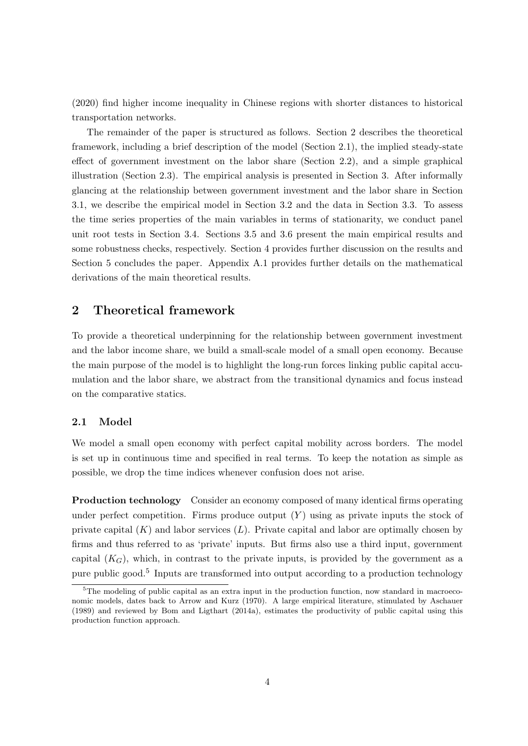(2020) find higher income inequality in Chinese regions with shorter distances to historical transportation networks.

The remainder of the paper is structured as follows. Section 2 describes the theoretical framework, including a brief description of the model (Section 2.1), the implied steady-state effect of government investment on the labor share (Section 2.2), and a simple graphical illustration (Section 2.3). The empirical analysis is presented in Section 3. After informally glancing at the relationship between government investment and the labor share in Section 3.1, we describe the empirical model in Section 3.2 and the data in Section 3.3. To assess the time series properties of the main variables in terms of stationarity, we conduct panel unit root tests in Section 3.4. Sections 3.5 and 3.6 present the main empirical results and some robustness checks, respectively. Section 4 provides further discussion on the results and Section 5 concludes the paper. Appendix A.1 provides further details on the mathematical derivations of the main theoretical results.

## 2 Theoretical framework

To provide a theoretical underpinning for the relationship between government investment and the labor income share, we build a small-scale model of a small open economy. Because the main purpose of the model is to highlight the long-run forces linking public capital accumulation and the labor share, we abstract from the transitional dynamics and focus instead on the comparative statics.

#### 2.1 Model

We model a small open economy with perfect capital mobility across borders. The model is set up in continuous time and specified in real terms. To keep the notation as simple as possible, we drop the time indices whenever confusion does not arise.

Production technology Consider an economy composed of many identical firms operating under perfect competition. Firms produce output  $(Y)$  using as private inputs the stock of private capital  $(K)$  and labor services  $(L)$ . Private capital and labor are optimally chosen by firms and thus referred to as 'private' inputs. But firms also use a third input, government capital  $(K_G)$ , which, in contrast to the private inputs, is provided by the government as a pure public good.<sup>5</sup> Inputs are transformed into output according to a production technology

<sup>&</sup>lt;sup>5</sup>The modeling of public capital as an extra input in the production function, now standard in macroeconomic models, dates back to Arrow and Kurz (1970). A large empirical literature, stimulated by Aschauer (1989) and reviewed by Bom and Ligthart (2014a), estimates the productivity of public capital using this production function approach.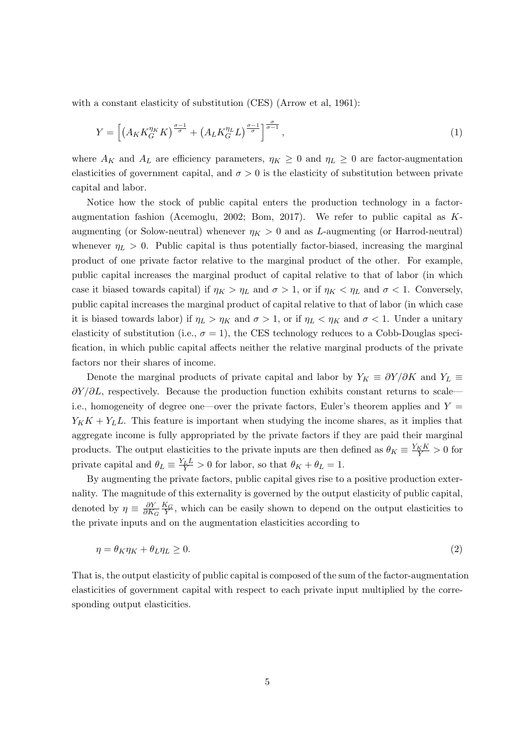with a constant elasticity of substitution (CES) (Arrow et al, 1961):

$$
Y = \left[ \left( A_K K_G^{\eta_K} K \right)^{\frac{\sigma - 1}{\sigma}} + \left( A_L K_G^{\eta_L} L \right)^{\frac{\sigma - 1}{\sigma}} \right]^{\frac{\sigma}{\sigma - 1}},\tag{1}
$$

where  $A_K$  and  $A_L$  are efficiency parameters,  $\eta_K \geq 0$  and  $\eta_L \geq 0$  are factor-augmentation elasticities of government capital, and  $\sigma > 0$  is the elasticity of substitution between private capital and labor.

Notice how the stock of public capital enters the production technology in a factoraugmentation fashion (Acemoglu, 2002; Bom, 2017). We refer to public capital as Kaugmenting (or Solow-neutral) whenever  $\eta_K > 0$  and as L-augmenting (or Harrod-neutral) whenever  $\eta_L > 0$ . Public capital is thus potentially factor-biased, increasing the marginal product of one private factor relative to the marginal product of the other. For example, public capital increases the marginal product of capital relative to that of labor (in which case it biased towards capital) if  $\eta_K > \eta_L$  and  $\sigma > 1$ , or if  $\eta_K < \eta_L$  and  $\sigma < 1$ . Conversely, public capital increases the marginal product of capital relative to that of labor (in which case it is biased towards labor) if  $\eta_L > \eta_K$  and  $\sigma > 1$ , or if  $\eta_L < \eta_K$  and  $\sigma < 1$ . Under a unitary elasticity of substitution (i.e.,  $\sigma = 1$ ), the CES technology reduces to a Cobb-Douglas specification, in which public capital affects neither the relative marginal products of the private factors nor their shares of income.

Denote the marginal products of private capital and labor by  $Y_K \equiv \partial Y / \partial K$  and  $Y_L \equiv$  $\partial Y/\partial L$ , respectively. Because the production function exhibits constant returns to scale i.e., homogeneity of degree one—over the private factors, Euler's theorem applies and  $Y =$  $Y_KK + Y_LL$ . This feature is important when studying the income shares, as it implies that aggregate income is fully appropriated by the private factors if they are paid their marginal products. The output elasticities to the private inputs are then defined as  $\theta_K \equiv \frac{Y_K K}{Y} > 0$  for private capital and  $\theta_L \equiv \frac{Y_L L}{Y} > 0$  for labor, so that  $\theta_K + \theta_L = 1$ .

By augmenting the private factors, public capital gives rise to a positive production externality. The magnitude of this externality is governed by the output elasticity of public capital, denoted by  $\eta \equiv \frac{\partial Y}{\partial K}$  $\partial K_G$  $\frac{K_G}{Y}$ , which can be easily shown to depend on the output elasticities to the private inputs and on the augmentation elasticities according to

$$
\eta = \theta_K \eta_K + \theta_L \eta_L \ge 0. \tag{2}
$$

That is, the output elasticity of public capital is composed of the sum of the factor-augmentation elasticities of government capital with respect to each private input multiplied by the corresponding output elasticities.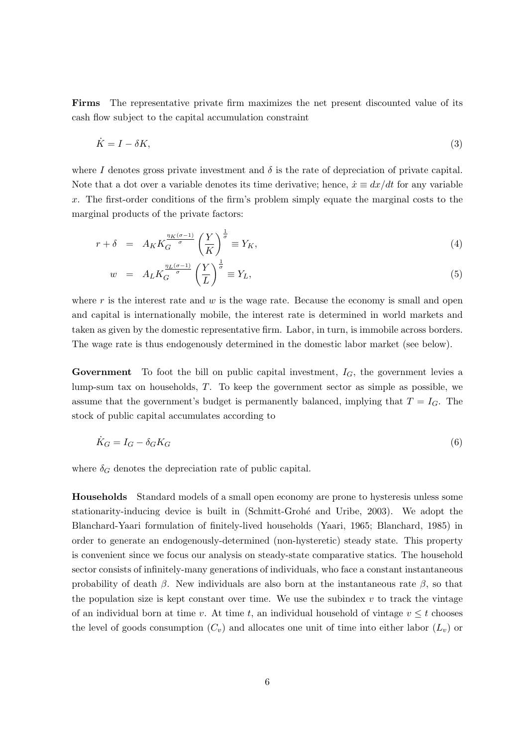Firms The representative private firm maximizes the net present discounted value of its cash flow subject to the capital accumulation constraint

$$
\dot{K} = I - \delta K,\tag{3}
$$

where I denotes gross private investment and  $\delta$  is the rate of depreciation of private capital. Note that a dot over a variable denotes its time derivative; hence,  $\dot{x} \equiv dx/dt$  for any variable x. The first-order conditions of the firm's problem simply equate the marginal costs to the marginal products of the private factors:

$$
r + \delta = A_K K_G^{\frac{\eta_K(\sigma - 1)}{\sigma}} \left(\frac{Y}{K}\right)^{\frac{1}{\sigma}} \equiv Y_K,\tag{4}
$$

$$
w = A_L K_G^{\frac{\eta_L(\sigma - 1)}{\sigma}} \left(\frac{Y}{L}\right)^{\frac{1}{\sigma}} \equiv Y_L,\tag{5}
$$

where  $r$  is the interest rate and  $w$  is the wage rate. Because the economy is small and open and capital is internationally mobile, the interest rate is determined in world markets and taken as given by the domestic representative firm. Labor, in turn, is immobile across borders. The wage rate is thus endogenously determined in the domestic labor market (see below).

**Government** To foot the bill on public capital investment,  $I_G$ , the government levies a lump-sum tax on households, T. To keep the government sector as simple as possible, we assume that the government's budget is permanently balanced, implying that  $T = I_G$ . The stock of public capital accumulates according to

$$
\dot{K}_G = I_G - \delta_G K_G \tag{6}
$$

where  $\delta_G$  denotes the depreciation rate of public capital.

Households Standard models of a small open economy are prone to hysteresis unless some stationarity-inducing device is built in (Schmitt-Grohé and Uribe, 2003). We adopt the Blanchard-Yaari formulation of finitely-lived households (Yaari, 1965; Blanchard, 1985) in order to generate an endogenously-determined (non-hysteretic) steady state. This property is convenient since we focus our analysis on steady-state comparative statics. The household sector consists of infinitely-many generations of individuals, who face a constant instantaneous probability of death  $\beta$ . New individuals are also born at the instantaneous rate  $\beta$ , so that the population size is kept constant over time. We use the subindex  $v$  to track the vintage of an individual born at time v. At time t, an individual household of vintage  $v \leq t$  chooses the level of goods consumption  $(C_v)$  and allocates one unit of time into either labor  $(L_v)$  or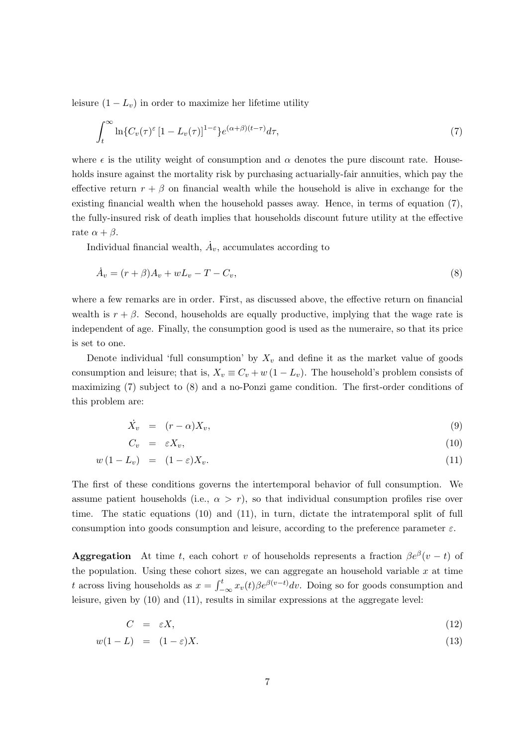leisure  $(1 - L_v)$  in order to maximize her lifetime utility

$$
\int_{t}^{\infty} \ln\{C_{v}(\tau)^{\varepsilon} \left[1 - L_{v}(\tau)\right]^{1-\varepsilon}\} e^{(\alpha+\beta)(t-\tau)} d\tau, \tag{7}
$$

where  $\epsilon$  is the utility weight of consumption and  $\alpha$  denotes the pure discount rate. Households insure against the mortality risk by purchasing actuarially-fair annuities, which pay the effective return  $r + \beta$  on financial wealth while the household is alive in exchange for the existing financial wealth when the household passes away. Hence, in terms of equation (7), the fully-insured risk of death implies that households discount future utility at the effective rate  $\alpha + \beta$ .

Individual financial wealth,  $\dot{A}_v$ , accumulates according to

$$
\dot{A}_v = (r+\beta)A_v + wL_v - T - C_v,\tag{8}
$$

where a few remarks are in order. First, as discussed above, the effective return on financial wealth is  $r + \beta$ . Second, households are equally productive, implying that the wage rate is independent of age. Finally, the consumption good is used as the numeraire, so that its price is set to one.

Denote individual 'full consumption' by  $X_v$  and define it as the market value of goods consumption and leisure; that is,  $X_v \equiv C_v + w(1 - L_v)$ . The household's problem consists of maximizing (7) subject to (8) and a no-Ponzi game condition. The first-order conditions of this problem are:

$$
\dot{X}_v = (r - \alpha)X_v,\tag{9}
$$

$$
C_v = \varepsilon X_v,\tag{10}
$$

$$
w(1 - L_v) = (1 - \varepsilon)X_v.
$$
\n<sup>(11)</sup>

The first of these conditions governs the intertemporal behavior of full consumption. We assume patient households (i.e.,  $\alpha > r$ ), so that individual consumption profiles rise over time. The static equations (10) and (11), in turn, dictate the intratemporal split of full consumption into goods consumption and leisure, according to the preference parameter  $\varepsilon$ .

**Aggregation** At time t, each cohort v of households represents a fraction  $\beta e^{\beta}(v-t)$  of the population. Using these cohort sizes, we can aggregate an household variable  $x$  at time t across living households as  $x = \int_{-\infty}^{t} x_v(t) \beta e^{\beta(v-t)} dv$ . Doing so for goods consumption and leisure, given by (10) and (11), results in similar expressions at the aggregate level:

$$
C = \varepsilon X,\tag{12}
$$

$$
w(1-L) = (1 - \varepsilon)X.\tag{13}
$$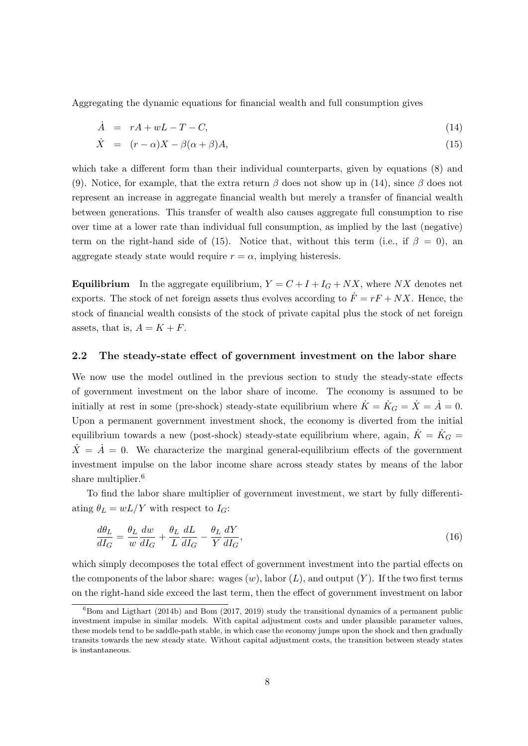Aggregating the dynamic equations for financial wealth and full consumption gives

$$
\dot{A} = rA + wL - T - C,\tag{14}
$$

$$
\dot{X} = (r - \alpha)X - \beta(\alpha + \beta)A,\tag{15}
$$

which take a different form than their individual counterparts, given by equations (8) and (9). Notice, for example, that the extra return  $\beta$  does not show up in (14), since  $\beta$  does not represent an increase in aggregate financial wealth but merely a transfer of financial wealth between generations. This transfer of wealth also causes aggregate full consumption to rise over time at a lower rate than individual full consumption, as implied by the last (negative) term on the right-hand side of (15). Notice that, without this term (i.e., if  $\beta = 0$ ), an aggregate steady state would require  $r = \alpha$ , implying histeresis.

**Equilibrium** In the aggregate equilibrium,  $Y = C + I + I_G + NX$ , where NX denotes net exports. The stock of net foreign assets thus evolves according to  $\dot{F} = rF + NX$ . Hence, the stock of financial wealth consists of the stock of private capital plus the stock of net foreign assets, that is,  $A = K + F$ .

#### 2.2 The steady-state effect of government investment on the labor share

We now use the model outlined in the previous section to study the steady-state effects of government investment on the labor share of income. The economy is assumed to be initially at rest in some (pre-shock) steady-state equilibrium where  $\dot{K} = \dot{K}_G = \dot{X} = \dot{A} = 0$ . Upon a permanent government investment shock, the economy is diverted from the initial equilibrium towards a new (post-shock) steady-state equilibrium where, again,  $\dot{K} = \dot{K}_G =$  $\dot{X} = \dot{A} = 0$ . We characterize the marginal general-equilibrium effects of the government investment impulse on the labor income share across steady states by means of the labor share multiplier.<sup>6</sup>

To find the labor share multiplier of government investment, we start by fully differentiating  $\theta_L = wL/Y$  with respect to  $I_G$ :

$$
\frac{d\theta_L}{dI_G} = \frac{\theta_L}{w} \frac{dw}{dI_G} + \frac{\theta_L}{L} \frac{dL}{dI_G} - \frac{\theta_L}{Y} \frac{dY}{dI_G},\tag{16}
$$

which simply decomposes the total effect of government investment into the partial effects on the components of the labor share: wages  $(w)$ , labor  $(L)$ , and output  $(Y)$ . If the two first terms on the right-hand side exceed the last term, then the effect of government investment on labor

 ${}^{6}$ Bom and Ligthart (2014b) and Bom (2017, 2019) study the transitional dynamics of a permanent public investment impulse in similar models. With capital adjustment costs and under plausible parameter values, these models tend to be saddle-path stable, in which case the economy jumps upon the shock and then gradually transits towards the new steady state. Without capital adjustment costs, the transition between steady states is instantaneous.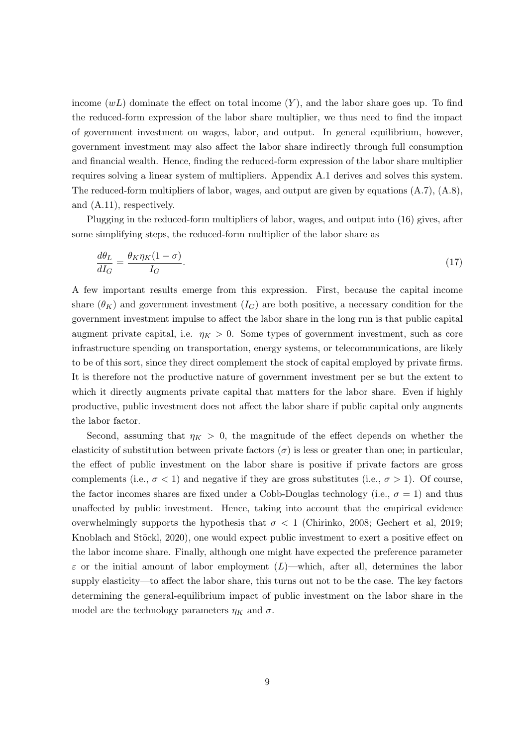income  $(wL)$  dominate the effect on total income  $(Y)$ , and the labor share goes up. To find the reduced-form expression of the labor share multiplier, we thus need to find the impact of government investment on wages, labor, and output. In general equilibrium, however, government investment may also affect the labor share indirectly through full consumption and financial wealth. Hence, finding the reduced-form expression of the labor share multiplier requires solving a linear system of multipliers. Appendix A.1 derives and solves this system. The reduced-form multipliers of labor, wages, and output are given by equations (A.7), (A.8), and (A.11), respectively.

Plugging in the reduced-form multipliers of labor, wages, and output into (16) gives, after some simplifying steps, the reduced-form multiplier of the labor share as

$$
\frac{d\theta_L}{dI_G} = \frac{\theta_K \eta_K (1 - \sigma)}{I_G}.\tag{17}
$$

A few important results emerge from this expression. First, because the capital income share  $(\theta_K)$  and government investment  $(I_G)$  are both positive, a necessary condition for the government investment impulse to affect the labor share in the long run is that public capital augment private capital, i.e.  $\eta_K > 0$ . Some types of government investment, such as core infrastructure spending on transportation, energy systems, or telecommunications, are likely to be of this sort, since they direct complement the stock of capital employed by private firms. It is therefore not the productive nature of government investment per se but the extent to which it directly augments private capital that matters for the labor share. Even if highly productive, public investment does not affect the labor share if public capital only augments the labor factor.

Second, assuming that  $\eta_K > 0$ , the magnitude of the effect depends on whether the elasticity of substitution between private factors  $(\sigma)$  is less or greater than one; in particular, the effect of public investment on the labor share is positive if private factors are gross complements (i.e.,  $\sigma$  < 1) and negative if they are gross substitutes (i.e.,  $\sigma$  > 1). Of course, the factor incomes shares are fixed under a Cobb-Douglas technology (i.e.,  $\sigma = 1$ ) and thus unaffected by public investment. Hence, taking into account that the empirical evidence overwhelmingly supports the hypothesis that  $\sigma < 1$  (Chirinko, 2008; Gechert et al, 2019; Knoblach and Stöckl, 2020), one would expect public investment to exert a positive effect on the labor income share. Finally, although one might have expected the preference parameter  $\varepsilon$  or the initial amount of labor employment (L)—which, after all, determines the labor supply elasticity—to affect the labor share, this turns out not to be the case. The key factors determining the general-equilibrium impact of public investment on the labor share in the model are the technology parameters  $\eta_K$  and  $\sigma$ .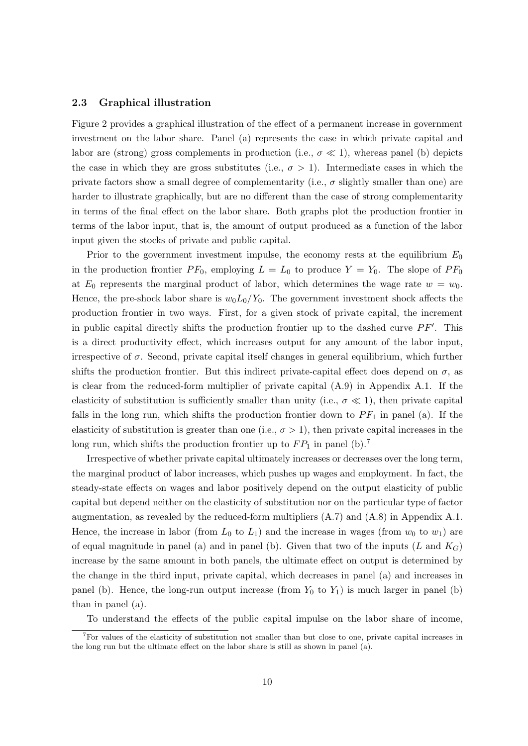#### 2.3 Graphical illustration

Figure 2 provides a graphical illustration of the effect of a permanent increase in government investment on the labor share. Panel (a) represents the case in which private capital and labor are (strong) gross complements in production (i.e.,  $\sigma \ll 1$ ), whereas panel (b) depicts the case in which they are gross substitutes (i.e.,  $\sigma > 1$ ). Intermediate cases in which the private factors show a small degree of complementarity (i.e.,  $\sigma$  slightly smaller than one) are harder to illustrate graphically, but are no different than the case of strong complementarity in terms of the final effect on the labor share. Both graphs plot the production frontier in terms of the labor input, that is, the amount of output produced as a function of the labor input given the stocks of private and public capital.

Prior to the government investment impulse, the economy rests at the equilibrium  $E_0$ in the production frontier  $PF_0$ , employing  $L = L_0$  to produce  $Y = Y_0$ . The slope of  $PF_0$ at  $E_0$  represents the marginal product of labor, which determines the wage rate  $w = w_0$ . Hence, the pre-shock labor share is  $w_0L_0/Y_0$ . The government investment shock affects the production frontier in two ways. First, for a given stock of private capital, the increment in public capital directly shifts the production frontier up to the dashed curve  $PF'$ . This is a direct productivity effect, which increases output for any amount of the labor input, irrespective of  $\sigma$ . Second, private capital itself changes in general equilibrium, which further shifts the production frontier. But this indirect private-capital effect does depend on  $\sigma$ , as is clear from the reduced-form multiplier of private capital (A.9) in Appendix A.1. If the elasticity of substitution is sufficiently smaller than unity (i.e.,  $\sigma \ll 1$ ), then private capital falls in the long run, which shifts the production frontier down to  $PF_1$  in panel (a). If the elasticity of substitution is greater than one (i.e.,  $\sigma > 1$ ), then private capital increases in the long run, which shifts the production frontier up to  $FP_1$  in panel (b).<sup>7</sup>

Irrespective of whether private capital ultimately increases or decreases over the long term, the marginal product of labor increases, which pushes up wages and employment. In fact, the steady-state effects on wages and labor positively depend on the output elasticity of public capital but depend neither on the elasticity of substitution nor on the particular type of factor augmentation, as revealed by the reduced-form multipliers (A.7) and (A.8) in Appendix A.1. Hence, the increase in labor (from  $L_0$  to  $L_1$ ) and the increase in wages (from  $w_0$  to  $w_1$ ) are of equal magnitude in panel (a) and in panel (b). Given that two of the inputs  $(L \text{ and } K_G)$ increase by the same amount in both panels, the ultimate effect on output is determined by the change in the third input, private capital, which decreases in panel (a) and increases in panel (b). Hence, the long-run output increase (from  $Y_0$  to  $Y_1$ ) is much larger in panel (b) than in panel (a).

To understand the effects of the public capital impulse on the labor share of income,

<sup>7</sup>For values of the elasticity of substitution not smaller than but close to one, private capital increases in the long run but the ultimate effect on the labor share is still as shown in panel (a).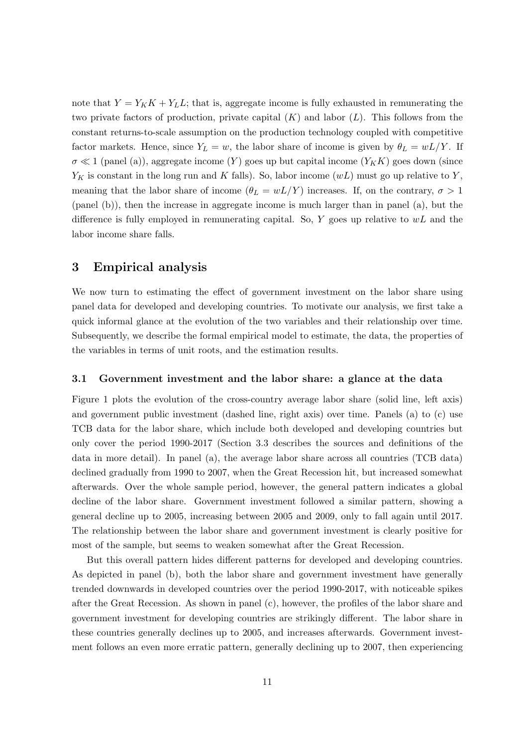note that  $Y = Y_K K + Y_L L$ ; that is, aggregate income is fully exhausted in remunerating the two private factors of production, private capital  $(K)$  and labor  $(L)$ . This follows from the constant returns-to-scale assumption on the production technology coupled with competitive factor markets. Hence, since  $Y_L = w$ , the labor share of income is given by  $\theta_L = wL/Y$ . If  $\sigma \ll 1$  (panel (a)), aggregate income (Y) goes up but capital income  $(Y_K K)$  goes down (since  $Y_K$  is constant in the long run and K falls). So, labor income  $(wL)$  must go up relative to Y, meaning that the labor share of income  $(\theta_L = wL/Y)$  increases. If, on the contrary,  $\sigma > 1$ (panel (b)), then the increase in aggregate income is much larger than in panel (a), but the difference is fully employed in remunerating capital. So, Y goes up relative to  $wL$  and the labor income share falls.

## 3 Empirical analysis

We now turn to estimating the effect of government investment on the labor share using panel data for developed and developing countries. To motivate our analysis, we first take a quick informal glance at the evolution of the two variables and their relationship over time. Subsequently, we describe the formal empirical model to estimate, the data, the properties of the variables in terms of unit roots, and the estimation results.

#### 3.1 Government investment and the labor share: a glance at the data

Figure 1 plots the evolution of the cross-country average labor share (solid line, left axis) and government public investment (dashed line, right axis) over time. Panels (a) to (c) use TCB data for the labor share, which include both developed and developing countries but only cover the period 1990-2017 (Section 3.3 describes the sources and definitions of the data in more detail). In panel (a), the average labor share across all countries (TCB data) declined gradually from 1990 to 2007, when the Great Recession hit, but increased somewhat afterwards. Over the whole sample period, however, the general pattern indicates a global decline of the labor share. Government investment followed a similar pattern, showing a general decline up to 2005, increasing between 2005 and 2009, only to fall again until 2017. The relationship between the labor share and government investment is clearly positive for most of the sample, but seems to weaken somewhat after the Great Recession.

But this overall pattern hides different patterns for developed and developing countries. As depicted in panel (b), both the labor share and government investment have generally trended downwards in developed countries over the period 1990-2017, with noticeable spikes after the Great Recession. As shown in panel (c), however, the profiles of the labor share and government investment for developing countries are strikingly different. The labor share in these countries generally declines up to 2005, and increases afterwards. Government investment follows an even more erratic pattern, generally declining up to 2007, then experiencing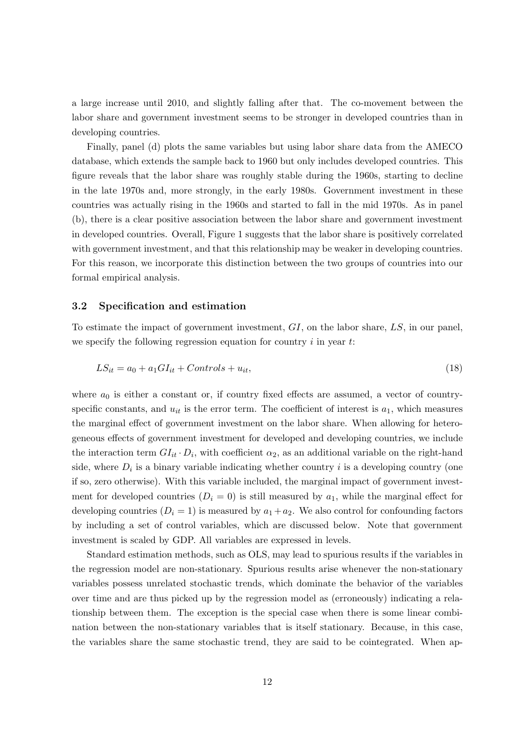a large increase until 2010, and slightly falling after that. The co-movement between the labor share and government investment seems to be stronger in developed countries than in developing countries.

Finally, panel (d) plots the same variables but using labor share data from the AMECO database, which extends the sample back to 1960 but only includes developed countries. This figure reveals that the labor share was roughly stable during the 1960s, starting to decline in the late 1970s and, more strongly, in the early 1980s. Government investment in these countries was actually rising in the 1960s and started to fall in the mid 1970s. As in panel (b), there is a clear positive association between the labor share and government investment in developed countries. Overall, Figure 1 suggests that the labor share is positively correlated with government investment, and that this relationship may be weaker in developing countries. For this reason, we incorporate this distinction between the two groups of countries into our formal empirical analysis.

#### 3.2 Specification and estimation

To estimate the impact of government investment,  $GI$ , on the labor share,  $LS$ , in our panel, we specify the following regression equation for country  $i$  in year  $t$ :

$$
LS_{it} = a_0 + a_1 GI_{it} + Controls + u_{it},\tag{18}
$$

where  $a_0$  is either a constant or, if country fixed effects are assumed, a vector of countryspecific constants, and  $u_{it}$  is the error term. The coefficient of interest is  $a_1$ , which measures the marginal effect of government investment on the labor share. When allowing for heterogeneous effects of government investment for developed and developing countries, we include the interaction term  $GI_{it} \cdot D_i$ , with coefficient  $\alpha_2$ , as an additional variable on the right-hand side, where  $D_i$  is a binary variable indicating whether country i is a developing country (one if so, zero otherwise). With this variable included, the marginal impact of government investment for developed countries  $(D_i = 0)$  is still measured by  $a_1$ , while the marginal effect for developing countries  $(D_i = 1)$  is measured by  $a_1 + a_2$ . We also control for confounding factors by including a set of control variables, which are discussed below. Note that government investment is scaled by GDP. All variables are expressed in levels.

Standard estimation methods, such as OLS, may lead to spurious results if the variables in the regression model are non-stationary. Spurious results arise whenever the non-stationary variables possess unrelated stochastic trends, which dominate the behavior of the variables over time and are thus picked up by the regression model as (erroneously) indicating a relationship between them. The exception is the special case when there is some linear combination between the non-stationary variables that is itself stationary. Because, in this case, the variables share the same stochastic trend, they are said to be cointegrated. When ap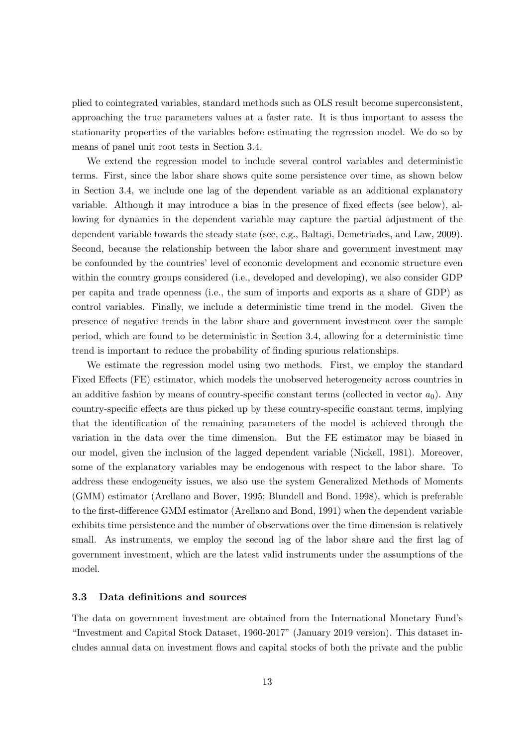plied to cointegrated variables, standard methods such as OLS result become superconsistent, approaching the true parameters values at a faster rate. It is thus important to assess the stationarity properties of the variables before estimating the regression model. We do so by means of panel unit root tests in Section 3.4.

We extend the regression model to include several control variables and deterministic terms. First, since the labor share shows quite some persistence over time, as shown below in Section 3.4, we include one lag of the dependent variable as an additional explanatory variable. Although it may introduce a bias in the presence of fixed effects (see below), allowing for dynamics in the dependent variable may capture the partial adjustment of the dependent variable towards the steady state (see, e.g., Baltagi, Demetriades, and Law, 2009). Second, because the relationship between the labor share and government investment may be confounded by the countries' level of economic development and economic structure even within the country groups considered (i.e., developed and developing), we also consider GDP per capita and trade openness (i.e., the sum of imports and exports as a share of GDP) as control variables. Finally, we include a deterministic time trend in the model. Given the presence of negative trends in the labor share and government investment over the sample period, which are found to be deterministic in Section 3.4, allowing for a deterministic time trend is important to reduce the probability of finding spurious relationships.

We estimate the regression model using two methods. First, we employ the standard Fixed Effects (FE) estimator, which models the unobserved heterogeneity across countries in an additive fashion by means of country-specific constant terms (collected in vector  $a_0$ ). Any country-specific effects are thus picked up by these country-specific constant terms, implying that the identification of the remaining parameters of the model is achieved through the variation in the data over the time dimension. But the FE estimator may be biased in our model, given the inclusion of the lagged dependent variable (Nickell, 1981). Moreover, some of the explanatory variables may be endogenous with respect to the labor share. To address these endogeneity issues, we also use the system Generalized Methods of Moments (GMM) estimator (Arellano and Bover, 1995; Blundell and Bond, 1998), which is preferable to the first-difference GMM estimator (Arellano and Bond, 1991) when the dependent variable exhibits time persistence and the number of observations over the time dimension is relatively small. As instruments, we employ the second lag of the labor share and the first lag of government investment, which are the latest valid instruments under the assumptions of the model.

#### 3.3 Data definitions and sources

The data on government investment are obtained from the International Monetary Fund's "Investment and Capital Stock Dataset, 1960-2017" (January 2019 version). This dataset includes annual data on investment flows and capital stocks of both the private and the public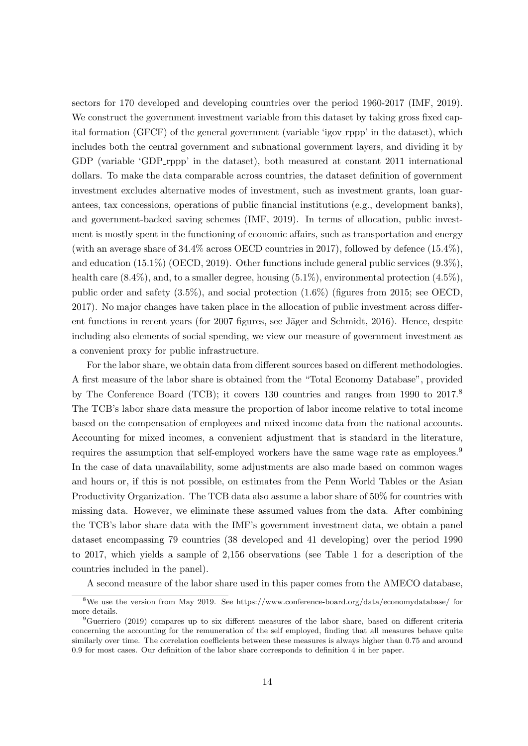sectors for 170 developed and developing countries over the period 1960-2017 (IMF, 2019). We construct the government investment variable from this dataset by taking gross fixed capital formation (GFCF) of the general government (variable 'igov rppp' in the dataset), which includes both the central government and subnational government layers, and dividing it by GDP (variable 'GDP\_rppp' in the dataset), both measured at constant 2011 international dollars. To make the data comparable across countries, the dataset definition of government investment excludes alternative modes of investment, such as investment grants, loan guarantees, tax concessions, operations of public financial institutions (e.g., development banks), and government-backed saving schemes (IMF, 2019). In terms of allocation, public investment is mostly spent in the functioning of economic affairs, such as transportation and energy (with an average share of  $34.4\%$  across OECD countries in 2017), followed by defence  $(15.4\%)$ , and education (15.1%) (OECD, 2019). Other functions include general public services (9.3%), health care  $(8.4\%)$ , and, to a smaller degree, housing  $(5.1\%)$ , environmental protection  $(4.5\%)$ . public order and safety (3.5%), and social protection (1.6%) (figures from 2015; see OECD, 2017). No major changes have taken place in the allocation of public investment across different functions in recent years (for 2007 figures, see Jäger and Schmidt, 2016). Hence, despite including also elements of social spending, we view our measure of government investment as a convenient proxy for public infrastructure.

For the labor share, we obtain data from different sources based on different methodologies. A first measure of the labor share is obtained from the "Total Economy Database", provided by The Conference Board (TCB); it covers 130 countries and ranges from 1990 to 2017.<sup>8</sup> The TCB's labor share data measure the proportion of labor income relative to total income based on the compensation of employees and mixed income data from the national accounts. Accounting for mixed incomes, a convenient adjustment that is standard in the literature, requires the assumption that self-employed workers have the same wage rate as employees.<sup>9</sup> In the case of data unavailability, some adjustments are also made based on common wages and hours or, if this is not possible, on estimates from the Penn World Tables or the Asian Productivity Organization. The TCB data also assume a labor share of 50% for countries with missing data. However, we eliminate these assumed values from the data. After combining the TCB's labor share data with the IMF's government investment data, we obtain a panel dataset encompassing 79 countries (38 developed and 41 developing) over the period 1990 to 2017, which yields a sample of 2,156 observations (see Table 1 for a description of the countries included in the panel).

A second measure of the labor share used in this paper comes from the AMECO database,

<sup>8</sup>We use the version from May 2019. See https://www.conference-board.org/data/economydatabase/ for more details.

<sup>&</sup>lt;sup>9</sup>Guerriero (2019) compares up to six different measures of the labor share, based on different criteria concerning the accounting for the remuneration of the self employed, finding that all measures behave quite similarly over time. The correlation coefficients between these measures is always higher than 0.75 and around 0.9 for most cases. Our definition of the labor share corresponds to definition 4 in her paper.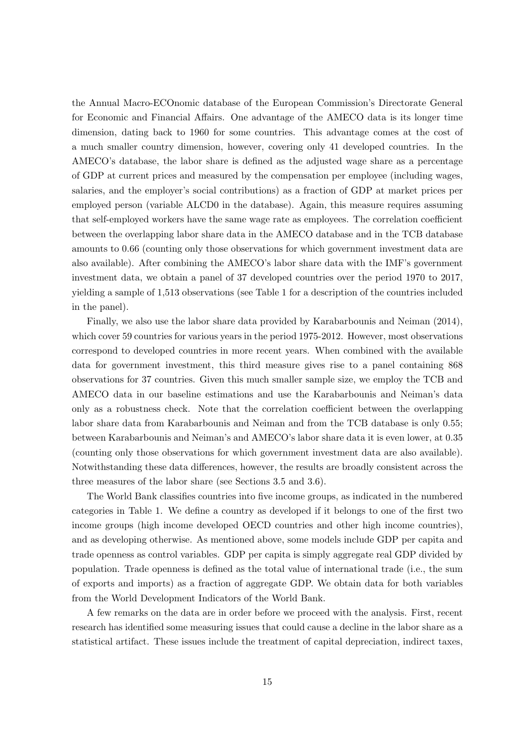the Annual Macro-ECOnomic database of the European Commission's Directorate General for Economic and Financial Affairs. One advantage of the AMECO data is its longer time dimension, dating back to 1960 for some countries. This advantage comes at the cost of a much smaller country dimension, however, covering only 41 developed countries. In the AMECO's database, the labor share is defined as the adjusted wage share as a percentage of GDP at current prices and measured by the compensation per employee (including wages, salaries, and the employer's social contributions) as a fraction of GDP at market prices per employed person (variable ALCD0 in the database). Again, this measure requires assuming that self-employed workers have the same wage rate as employees. The correlation coefficient between the overlapping labor share data in the AMECO database and in the TCB database amounts to 0.66 (counting only those observations for which government investment data are also available). After combining the AMECO's labor share data with the IMF's government investment data, we obtain a panel of 37 developed countries over the period 1970 to 2017, yielding a sample of 1,513 observations (see Table 1 for a description of the countries included in the panel).

Finally, we also use the labor share data provided by Karabarbounis and Neiman (2014), which cover 59 countries for various years in the period 1975-2012. However, most observations correspond to developed countries in more recent years. When combined with the available data for government investment, this third measure gives rise to a panel containing 868 observations for 37 countries. Given this much smaller sample size, we employ the TCB and AMECO data in our baseline estimations and use the Karabarbounis and Neiman's data only as a robustness check. Note that the correlation coefficient between the overlapping labor share data from Karabarbounis and Neiman and from the TCB database is only 0.55; between Karabarbounis and Neiman's and AMECO's labor share data it is even lower, at 0.35 (counting only those observations for which government investment data are also available). Notwithstanding these data differences, however, the results are broadly consistent across the three measures of the labor share (see Sections 3.5 and 3.6).

The World Bank classifies countries into five income groups, as indicated in the numbered categories in Table 1. We define a country as developed if it belongs to one of the first two income groups (high income developed OECD countries and other high income countries), and as developing otherwise. As mentioned above, some models include GDP per capita and trade openness as control variables. GDP per capita is simply aggregate real GDP divided by population. Trade openness is defined as the total value of international trade (i.e., the sum of exports and imports) as a fraction of aggregate GDP. We obtain data for both variables from the World Development Indicators of the World Bank.

A few remarks on the data are in order before we proceed with the analysis. First, recent research has identified some measuring issues that could cause a decline in the labor share as a statistical artifact. These issues include the treatment of capital depreciation, indirect taxes,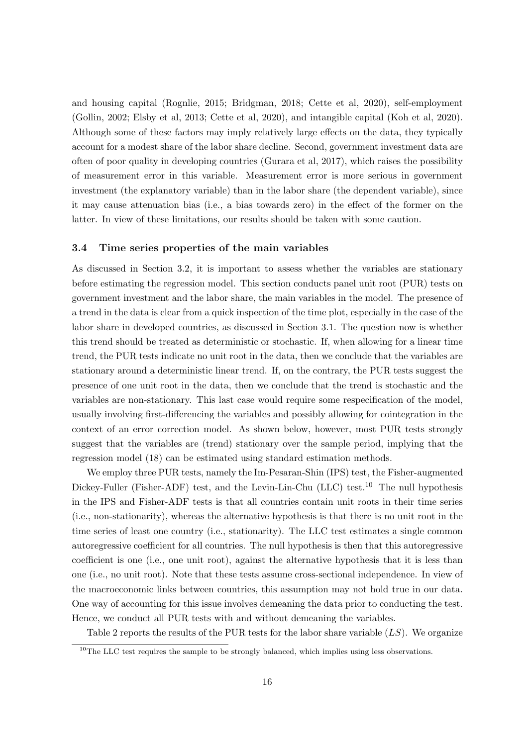and housing capital (Rognlie, 2015; Bridgman, 2018; Cette et al, 2020), self-employment (Gollin, 2002; Elsby et al, 2013; Cette et al, 2020), and intangible capital (Koh et al, 2020). Although some of these factors may imply relatively large effects on the data, they typically account for a modest share of the labor share decline. Second, government investment data are often of poor quality in developing countries (Gurara et al, 2017), which raises the possibility of measurement error in this variable. Measurement error is more serious in government investment (the explanatory variable) than in the labor share (the dependent variable), since it may cause attenuation bias (i.e., a bias towards zero) in the effect of the former on the latter. In view of these limitations, our results should be taken with some caution.

#### 3.4 Time series properties of the main variables

As discussed in Section 3.2, it is important to assess whether the variables are stationary before estimating the regression model. This section conducts panel unit root (PUR) tests on government investment and the labor share, the main variables in the model. The presence of a trend in the data is clear from a quick inspection of the time plot, especially in the case of the labor share in developed countries, as discussed in Section 3.1. The question now is whether this trend should be treated as deterministic or stochastic. If, when allowing for a linear time trend, the PUR tests indicate no unit root in the data, then we conclude that the variables are stationary around a deterministic linear trend. If, on the contrary, the PUR tests suggest the presence of one unit root in the data, then we conclude that the trend is stochastic and the variables are non-stationary. This last case would require some respecification of the model, usually involving first-differencing the variables and possibly allowing for cointegration in the context of an error correction model. As shown below, however, most PUR tests strongly suggest that the variables are (trend) stationary over the sample period, implying that the regression model (18) can be estimated using standard estimation methods.

We employ three PUR tests, namely the Im-Pesaran-Shin (IPS) test, the Fisher-augmented Dickey-Fuller (Fisher-ADF) test, and the Levin-Lin-Chu (LLC) test.<sup>10</sup> The null hypothesis in the IPS and Fisher-ADF tests is that all countries contain unit roots in their time series (i.e., non-stationarity), whereas the alternative hypothesis is that there is no unit root in the time series of least one country (i.e., stationarity). The LLC test estimates a single common autoregressive coefficient for all countries. The null hypothesis is then that this autoregressive coefficient is one (i.e., one unit root), against the alternative hypothesis that it is less than one (i.e., no unit root). Note that these tests assume cross-sectional independence. In view of the macroeconomic links between countries, this assumption may not hold true in our data. One way of accounting for this issue involves demeaning the data prior to conducting the test. Hence, we conduct all PUR tests with and without demeaning the variables.

Table 2 reports the results of the PUR tests for the labor share variable  $(LS)$ . We organize

<sup>&</sup>lt;sup>10</sup>The LLC test requires the sample to be strongly balanced, which implies using less observations.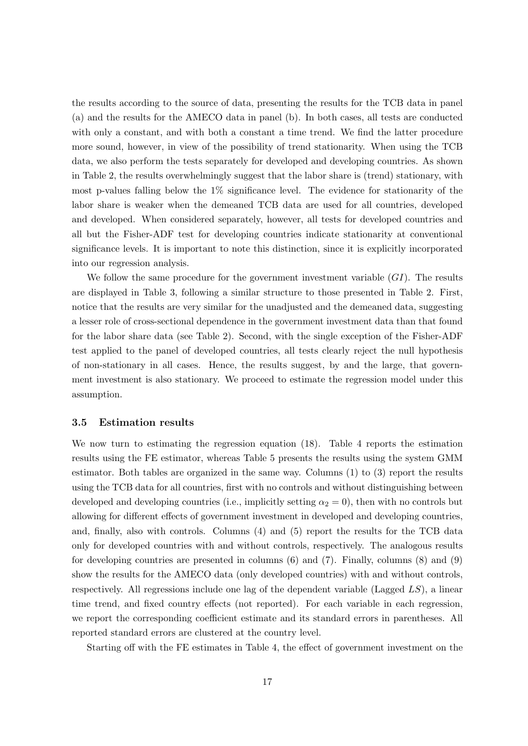the results according to the source of data, presenting the results for the TCB data in panel (a) and the results for the AMECO data in panel (b). In both cases, all tests are conducted with only a constant, and with both a constant a time trend. We find the latter procedure more sound, however, in view of the possibility of trend stationarity. When using the TCB data, we also perform the tests separately for developed and developing countries. As shown in Table 2, the results overwhelmingly suggest that the labor share is (trend) stationary, with most p-values falling below the 1% significance level. The evidence for stationarity of the labor share is weaker when the demeaned TCB data are used for all countries, developed and developed. When considered separately, however, all tests for developed countries and all but the Fisher-ADF test for developing countries indicate stationarity at conventional significance levels. It is important to note this distinction, since it is explicitly incorporated into our regression analysis.

We follow the same procedure for the government investment variable  $(GI)$ . The results are displayed in Table 3, following a similar structure to those presented in Table 2. First, notice that the results are very similar for the unadjusted and the demeaned data, suggesting a lesser role of cross-sectional dependence in the government investment data than that found for the labor share data (see Table 2). Second, with the single exception of the Fisher-ADF test applied to the panel of developed countries, all tests clearly reject the null hypothesis of non-stationary in all cases. Hence, the results suggest, by and the large, that government investment is also stationary. We proceed to estimate the regression model under this assumption.

#### 3.5 Estimation results

We now turn to estimating the regression equation (18). Table 4 reports the estimation results using the FE estimator, whereas Table 5 presents the results using the system GMM estimator. Both tables are organized in the same way. Columns (1) to (3) report the results using the TCB data for all countries, first with no controls and without distinguishing between developed and developing countries (i.e., implicitly setting  $\alpha_2 = 0$ ), then with no controls but allowing for different effects of government investment in developed and developing countries, and, finally, also with controls. Columns (4) and (5) report the results for the TCB data only for developed countries with and without controls, respectively. The analogous results for developing countries are presented in columns (6) and (7). Finally, columns (8) and (9) show the results for the AMECO data (only developed countries) with and without controls, respectively. All regressions include one lag of the dependent variable (Lagged  $LS$ ), a linear time trend, and fixed country effects (not reported). For each variable in each regression, we report the corresponding coefficient estimate and its standard errors in parentheses. All reported standard errors are clustered at the country level.

Starting off with the FE estimates in Table 4, the effect of government investment on the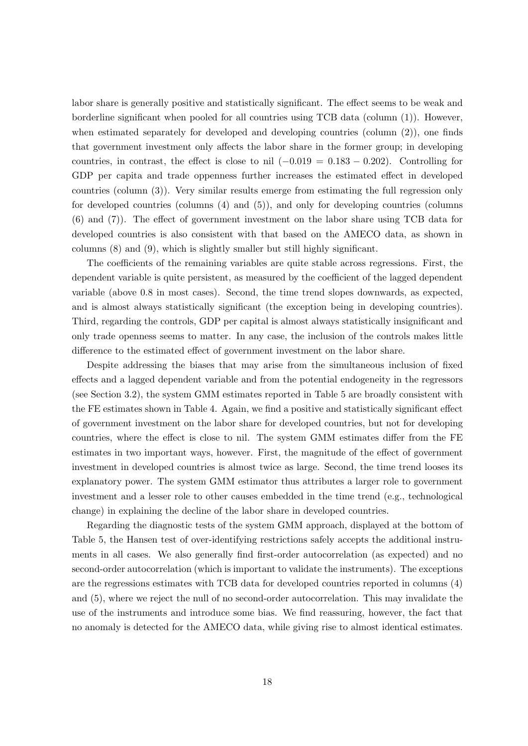labor share is generally positive and statistically significant. The effect seems to be weak and borderline significant when pooled for all countries using TCB data (column (1)). However, when estimated separately for developed and developing countries (column (2)), one finds that government investment only affects the labor share in the former group; in developing countries, in contrast, the effect is close to nil  $(-0.019 = 0.183 - 0.202)$ . Controlling for GDP per capita and trade oppenness further increases the estimated effect in developed countries (column (3)). Very similar results emerge from estimating the full regression only for developed countries (columns (4) and (5)), and only for developing countries (columns (6) and (7)). The effect of government investment on the labor share using TCB data for developed countries is also consistent with that based on the AMECO data, as shown in columns (8) and (9), which is slightly smaller but still highly significant.

The coefficients of the remaining variables are quite stable across regressions. First, the dependent variable is quite persistent, as measured by the coefficient of the lagged dependent variable (above 0.8 in most cases). Second, the time trend slopes downwards, as expected, and is almost always statistically significant (the exception being in developing countries). Third, regarding the controls, GDP per capital is almost always statistically insignificant and only trade openness seems to matter. In any case, the inclusion of the controls makes little difference to the estimated effect of government investment on the labor share.

Despite addressing the biases that may arise from the simultaneous inclusion of fixed effects and a lagged dependent variable and from the potential endogeneity in the regressors (see Section 3.2), the system GMM estimates reported in Table 5 are broadly consistent with the FE estimates shown in Table 4. Again, we find a positive and statistically significant effect of government investment on the labor share for developed countries, but not for developing countries, where the effect is close to nil. The system GMM estimates differ from the FE estimates in two important ways, however. First, the magnitude of the effect of government investment in developed countries is almost twice as large. Second, the time trend looses its explanatory power. The system GMM estimator thus attributes a larger role to government investment and a lesser role to other causes embedded in the time trend (e.g., technological change) in explaining the decline of the labor share in developed countries.

Regarding the diagnostic tests of the system GMM approach, displayed at the bottom of Table 5, the Hansen test of over-identifying restrictions safely accepts the additional instruments in all cases. We also generally find first-order autocorrelation (as expected) and no second-order autocorrelation (which is important to validate the instruments). The exceptions are the regressions estimates with TCB data for developed countries reported in columns (4) and (5), where we reject the null of no second-order autocorrelation. This may invalidate the use of the instruments and introduce some bias. We find reassuring, however, the fact that no anomaly is detected for the AMECO data, while giving rise to almost identical estimates.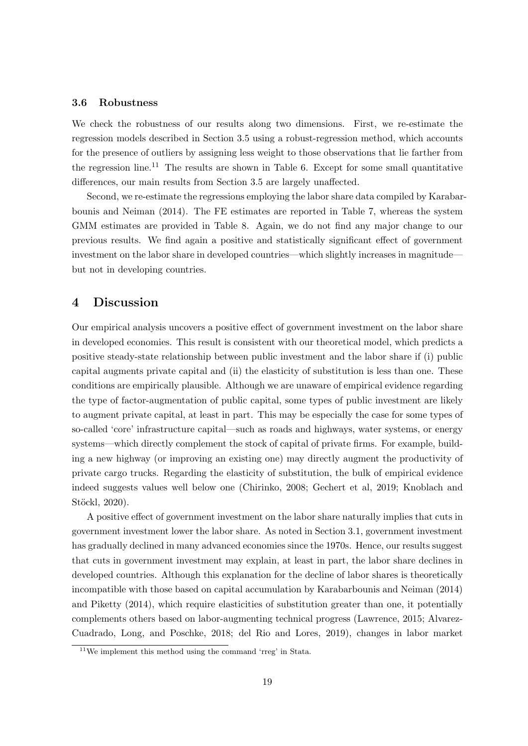#### 3.6 Robustness

We check the robustness of our results along two dimensions. First, we re-estimate the regression models described in Section 3.5 using a robust-regression method, which accounts for the presence of outliers by assigning less weight to those observations that lie farther from the regression line.<sup>11</sup> The results are shown in Table 6. Except for some small quantitative differences, our main results from Section 3.5 are largely unaffected.

Second, we re-estimate the regressions employing the labor share data compiled by Karabarbounis and Neiman (2014). The FE estimates are reported in Table 7, whereas the system GMM estimates are provided in Table 8. Again, we do not find any major change to our previous results. We find again a positive and statistically significant effect of government investment on the labor share in developed countries—which slightly increases in magnitude but not in developing countries.

### 4 Discussion

Our empirical analysis uncovers a positive effect of government investment on the labor share in developed economies. This result is consistent with our theoretical model, which predicts a positive steady-state relationship between public investment and the labor share if (i) public capital augments private capital and (ii) the elasticity of substitution is less than one. These conditions are empirically plausible. Although we are unaware of empirical evidence regarding the type of factor-augmentation of public capital, some types of public investment are likely to augment private capital, at least in part. This may be especially the case for some types of so-called 'core' infrastructure capital—such as roads and highways, water systems, or energy systems—which directly complement the stock of capital of private firms. For example, building a new highway (or improving an existing one) may directly augment the productivity of private cargo trucks. Regarding the elasticity of substitution, the bulk of empirical evidence indeed suggests values well below one (Chirinko, 2008; Gechert et al, 2019; Knoblach and Stöckl, 2020).

A positive effect of government investment on the labor share naturally implies that cuts in government investment lower the labor share. As noted in Section 3.1, government investment has gradually declined in many advanced economies since the 1970s. Hence, our results suggest that cuts in government investment may explain, at least in part, the labor share declines in developed countries. Although this explanation for the decline of labor shares is theoretically incompatible with those based on capital accumulation by Karabarbounis and Neiman (2014) and Piketty (2014), which require elasticities of substitution greater than one, it potentially complements others based on labor-augmenting technical progress (Lawrence, 2015; Alvarez-Cuadrado, Long, and Poschke, 2018; del Rio and Lores, 2019), changes in labor market

<sup>11</sup>We implement this method using the command 'rreg' in Stata.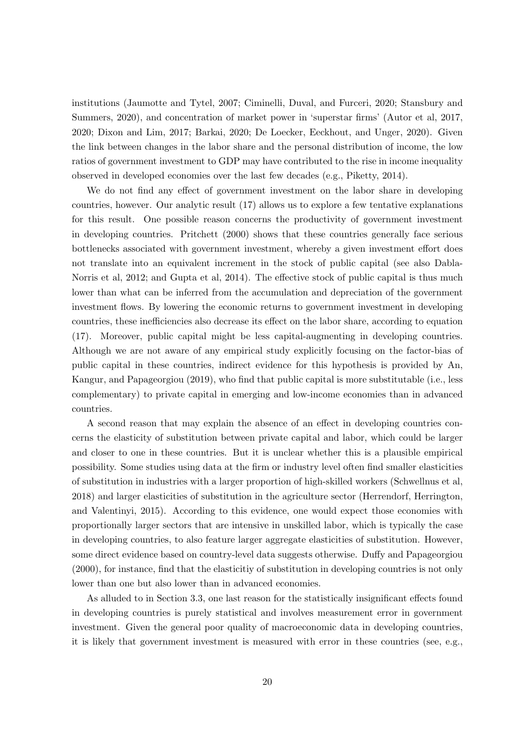institutions (Jaumotte and Tytel, 2007; Ciminelli, Duval, and Furceri, 2020; Stansbury and Summers, 2020), and concentration of market power in 'superstar firms' (Autor et al, 2017, 2020; Dixon and Lim, 2017; Barkai, 2020; De Loecker, Eeckhout, and Unger, 2020). Given the link between changes in the labor share and the personal distribution of income, the low ratios of government investment to GDP may have contributed to the rise in income inequality observed in developed economies over the last few decades (e.g., Piketty, 2014).

We do not find any effect of government investment on the labor share in developing countries, however. Our analytic result (17) allows us to explore a few tentative explanations for this result. One possible reason concerns the productivity of government investment in developing countries. Pritchett (2000) shows that these countries generally face serious bottlenecks associated with government investment, whereby a given investment effort does not translate into an equivalent increment in the stock of public capital (see also Dabla-Norris et al, 2012; and Gupta et al, 2014). The effective stock of public capital is thus much lower than what can be inferred from the accumulation and depreciation of the government investment flows. By lowering the economic returns to government investment in developing countries, these inefficiencies also decrease its effect on the labor share, according to equation (17). Moreover, public capital might be less capital-augmenting in developing countries. Although we are not aware of any empirical study explicitly focusing on the factor-bias of public capital in these countries, indirect evidence for this hypothesis is provided by An, Kangur, and Papageorgiou (2019), who find that public capital is more substitutable (i.e., less complementary) to private capital in emerging and low-income economies than in advanced countries.

A second reason that may explain the absence of an effect in developing countries concerns the elasticity of substitution between private capital and labor, which could be larger and closer to one in these countries. But it is unclear whether this is a plausible empirical possibility. Some studies using data at the firm or industry level often find smaller elasticities of substitution in industries with a larger proportion of high-skilled workers (Schwellnus et al, 2018) and larger elasticities of substitution in the agriculture sector (Herrendorf, Herrington, and Valentinyi, 2015). According to this evidence, one would expect those economies with proportionally larger sectors that are intensive in unskilled labor, which is typically the case in developing countries, to also feature larger aggregate elasticities of substitution. However, some direct evidence based on country-level data suggests otherwise. Duffy and Papageorgiou (2000), for instance, find that the elasticitiy of substitution in developing countries is not only lower than one but also lower than in advanced economies.

As alluded to in Section 3.3, one last reason for the statistically insignificant effects found in developing countries is purely statistical and involves measurement error in government investment. Given the general poor quality of macroeconomic data in developing countries, it is likely that government investment is measured with error in these countries (see, e.g.,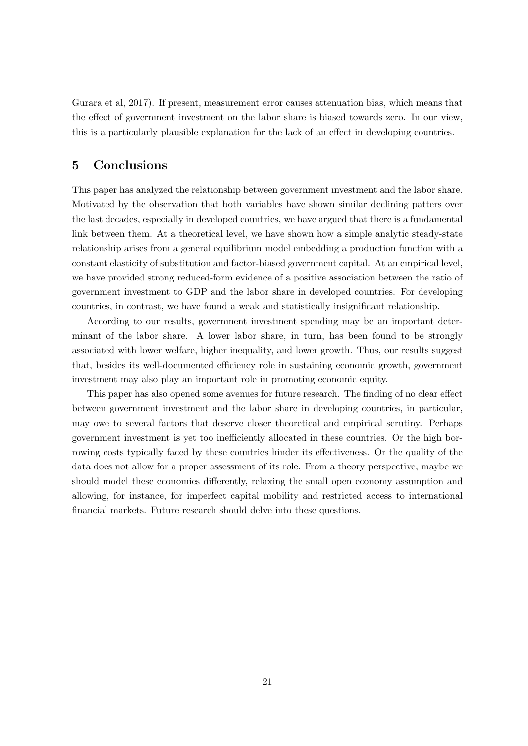Gurara et al, 2017). If present, measurement error causes attenuation bias, which means that the effect of government investment on the labor share is biased towards zero. In our view, this is a particularly plausible explanation for the lack of an effect in developing countries.

## 5 Conclusions

This paper has analyzed the relationship between government investment and the labor share. Motivated by the observation that both variables have shown similar declining patters over the last decades, especially in developed countries, we have argued that there is a fundamental link between them. At a theoretical level, we have shown how a simple analytic steady-state relationship arises from a general equilibrium model embedding a production function with a constant elasticity of substitution and factor-biased government capital. At an empirical level, we have provided strong reduced-form evidence of a positive association between the ratio of government investment to GDP and the labor share in developed countries. For developing countries, in contrast, we have found a weak and statistically insignificant relationship.

According to our results, government investment spending may be an important determinant of the labor share. A lower labor share, in turn, has been found to be strongly associated with lower welfare, higher inequality, and lower growth. Thus, our results suggest that, besides its well-documented efficiency role in sustaining economic growth, government investment may also play an important role in promoting economic equity.

This paper has also opened some avenues for future research. The finding of no clear effect between government investment and the labor share in developing countries, in particular, may owe to several factors that deserve closer theoretical and empirical scrutiny. Perhaps government investment is yet too inefficiently allocated in these countries. Or the high borrowing costs typically faced by these countries hinder its effectiveness. Or the quality of the data does not allow for a proper assessment of its role. From a theory perspective, maybe we should model these economies differently, relaxing the small open economy assumption and allowing, for instance, for imperfect capital mobility and restricted access to international financial markets. Future research should delve into these questions.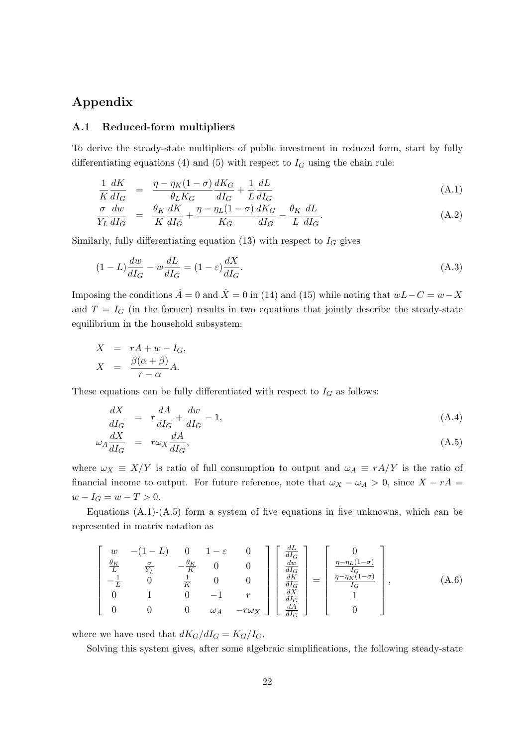## Appendix

#### A.1 Reduced-form multipliers

To derive the steady-state multipliers of public investment in reduced form, start by fully differentiating equations (4) and (5) with respect to  $I_G$  using the chain rule:

$$
\frac{1}{K}\frac{dK}{dI_G} = \frac{\eta - \eta_K(1-\sigma)}{\theta_L K_G} \frac{dK_G}{dI_G} + \frac{1}{L}\frac{dL}{dI_G}
$$
\n(A.1)

$$
\frac{\sigma}{Y_L} \frac{dw}{dI_G} = \frac{\theta_K}{K} \frac{dK}{dI_G} + \frac{\eta - \eta_L (1 - \sigma)}{K_G} \frac{dK_G}{dI_G} - \frac{\theta_K}{L} \frac{dL}{dI_G}.
$$
\n(A.2)

Similarly, fully differentiating equation (13) with respect to  $I_G$  gives

$$
(1 - L)\frac{dw}{dI_G} - w\frac{dL}{dI_G} = (1 - \varepsilon)\frac{dX}{dI_G}.\tag{A.3}
$$

Imposing the conditions  $\dot{A} = 0$  and  $\dot{X} = 0$  in (14) and (15) while noting that  $wL-C = w-X$ and  $T = I_G$  (in the former) results in two equations that jointly describe the steady-state equilibrium in the household subsystem:

$$
X = rA + w - I_G,
$$
  

$$
X = \frac{\beta(\alpha + \beta)}{r - \alpha}A.
$$

These equations can be fully differentiated with respect to  $I_G$  as follows:

$$
\frac{dX}{dI_G} = r\frac{dA}{dI_G} + \frac{dw}{dI_G} - 1,\tag{A.4}
$$

$$
\omega_A \frac{dX}{dI_G} = r\omega_X \frac{dA}{dI_G},\tag{A.5}
$$

where  $\omega_X \equiv X/Y$  is ratio of full consumption to output and  $\omega_A \equiv rA/Y$  is the ratio of financial income to output. For future reference, note that  $\omega_X - \omega_A > 0$ , since  $X - rA =$  $w - I_G = w - T > 0.$ 

Equations  $(A.1)-(A.5)$  form a system of five equations in five unknowns, which can be represented in matrix notation as

$$
\begin{bmatrix}\nw & -(1-L) & 0 & 1-\varepsilon & 0 \\
\frac{\theta_K}{L} & \frac{\sigma}{Y_L} & -\frac{\theta_K}{K} & 0 & 0 \\
-\frac{1}{L} & 0 & \frac{1}{K} & 0 & 0 \\
0 & 1 & 0 & -1 & r \\
0 & 0 & 0 & \omega_A & -r\omega_X\n\end{bmatrix}\n\begin{bmatrix}\n\frac{dL}{du_G} \\
\frac{dw}{dL_G} \\
\frac{dK}{dL_G} \\
\frac{dK}{dL_G} \\
\frac{dA}{dL_G}\n\end{bmatrix} = \begin{bmatrix}\n0 \\
\frac{\eta - \eta_L(1-\sigma)}{L_G} \\
\frac{\eta - \eta_K(1-\sigma)}{L_G} \\
1 \\
0\n\end{bmatrix},
$$
\n(A.6)

where we have used that  $dK_G/dI_G = K_G/I_G$ .

Solving this system gives, after some algebraic simplifications, the following steady-state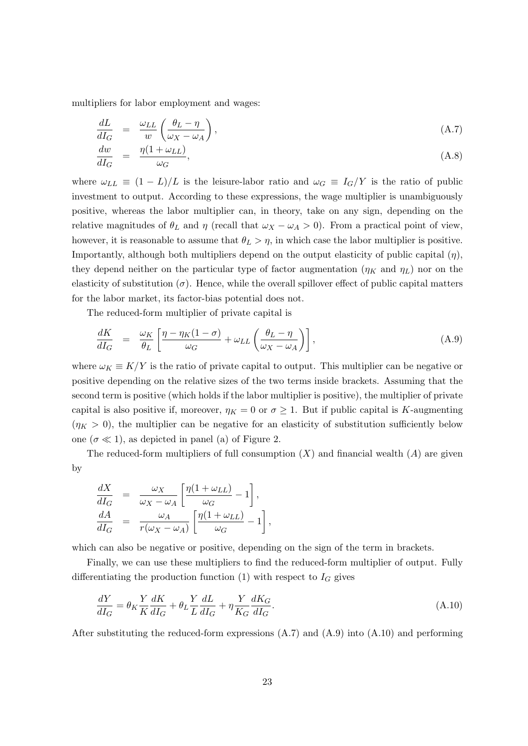multipliers for labor employment and wages:

$$
\frac{dL}{dI_G} = \frac{\omega_{LL}}{w} \left( \frac{\theta_L - \eta}{\omega_X - \omega_A} \right),\tag{A.7}
$$
\n
$$
\frac{dw}{dW} = \frac{n(1 + \omega_{LL})}{w}
$$

$$
\frac{dw}{dI_G} = \frac{\eta(1 + \omega_{LL})}{\omega_G},\tag{A.8}
$$

where  $\omega_{LL} \equiv (1 - L)/L$  is the leisure-labor ratio and  $\omega_G \equiv I_G/Y$  is the ratio of public investment to output. According to these expressions, the wage multiplier is unambiguously positive, whereas the labor multiplier can, in theory, take on any sign, depending on the relative magnitudes of  $\theta_L$  and  $\eta$  (recall that  $\omega_X - \omega_A > 0$ ). From a practical point of view, however, it is reasonable to assume that  $\theta_L > \eta$ , in which case the labor multiplier is positive. Importantly, although both multipliers depend on the output elasticity of public capital  $(\eta)$ , they depend neither on the particular type of factor augmentation  $(\eta_K$  and  $\eta_L)$  nor on the elasticity of substitution  $(\sigma)$ . Hence, while the overall spillover effect of public capital matters for the labor market, its factor-bias potential does not.

The reduced-form multiplier of private capital is

$$
\frac{dK}{dI_G} = \frac{\omega_K}{\theta_L} \left[ \frac{\eta - \eta_K (1 - \sigma)}{\omega_G} + \omega_{LL} \left( \frac{\theta_L - \eta}{\omega_X - \omega_A} \right) \right],\tag{A.9}
$$

where  $\omega_K \equiv K/Y$  is the ratio of private capital to output. This multiplier can be negative or positive depending on the relative sizes of the two terms inside brackets. Assuming that the second term is positive (which holds if the labor multiplier is positive), the multiplier of private capital is also positive if, moreover,  $\eta_K = 0$  or  $\sigma \geq 1$ . But if public capital is K-augmenting  $(\eta_K > 0)$ , the multiplier can be negative for an elasticity of substitution sufficiently below one  $(\sigma \ll 1)$ , as depicted in panel (a) of Figure 2.

The reduced-form multipliers of full consumption  $(X)$  and financial wealth  $(A)$  are given by

$$
\frac{dX}{dI_G} = \frac{\omega_X}{\omega_X - \omega_A} \left[ \frac{\eta(1 + \omega_{LL})}{\omega_G} - 1 \right],
$$
  

$$
\frac{dA}{dI_G} = \frac{\omega_A}{r(\omega_X - \omega_A)} \left[ \frac{\eta(1 + \omega_{LL})}{\omega_G} - 1 \right],
$$

which can also be negative or positive, depending on the sign of the term in brackets.

Finally, we can use these multipliers to find the reduced-form multiplier of output. Fully differentiating the production function (1) with respect to  $I_G$  gives

$$
\frac{dY}{dI_G} = \theta_K \frac{Y}{K} \frac{dK}{dI_G} + \theta_L \frac{Y}{L} \frac{dL}{dI_G} + \eta \frac{Y}{K_G} \frac{dK_G}{dI_G}.
$$
\n(A.10)

After substituting the reduced-form expressions  $(A.7)$  and  $(A.9)$  into  $(A.10)$  and performing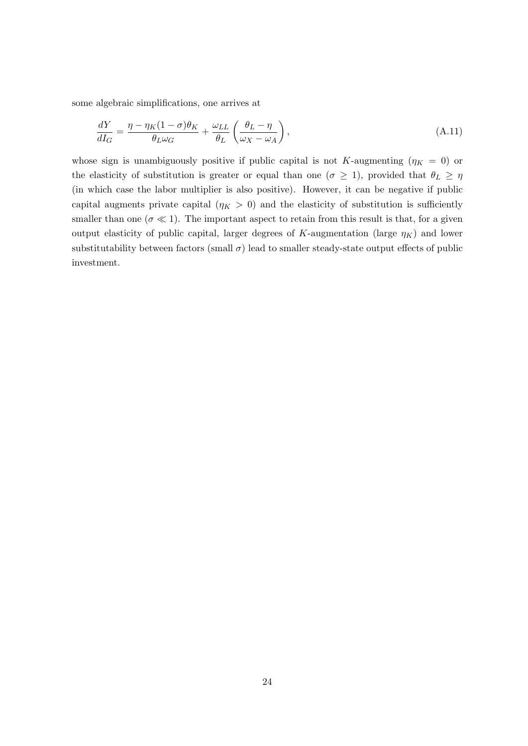some algebraic simplifications, one arrives at

$$
\frac{dY}{dI_G} = \frac{\eta - \eta_K (1 - \sigma) \theta_K}{\theta_L \omega_G} + \frac{\omega_{LL}}{\theta_L} \left( \frac{\theta_L - \eta}{\omega_X - \omega_A} \right),\tag{A.11}
$$

whose sign is unambiguously positive if public capital is not K-augmenting  $(\eta_K = 0)$  or the elasticity of substitution is greater or equal than one ( $\sigma \geq 1$ ), provided that  $\theta_L \geq \eta$ (in which case the labor multiplier is also positive). However, it can be negative if public capital augments private capital ( $\eta_K > 0$ ) and the elasticity of substitution is sufficiently smaller than one ( $\sigma \ll 1$ ). The important aspect to retain from this result is that, for a given output elasticity of public capital, larger degrees of K-augmentation (large  $\eta_K$ ) and lower substitutability between factors (small  $\sigma$ ) lead to smaller steady-state output effects of public investment.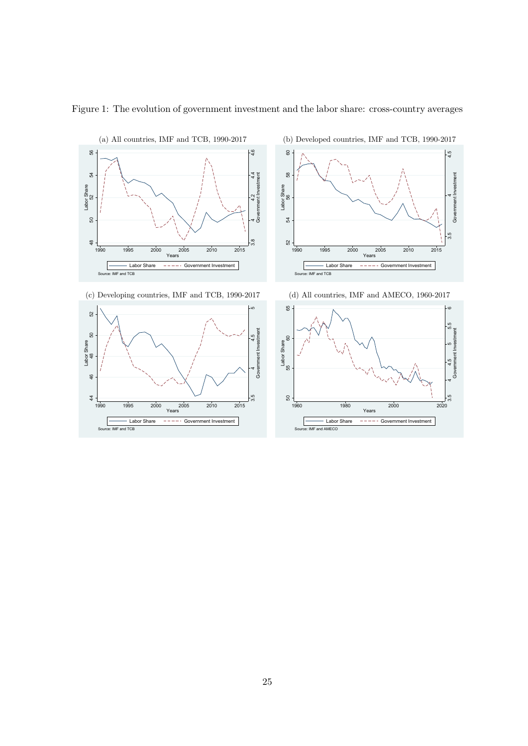

Figure 1: The evolution of government investment and the labor share: cross-country averages









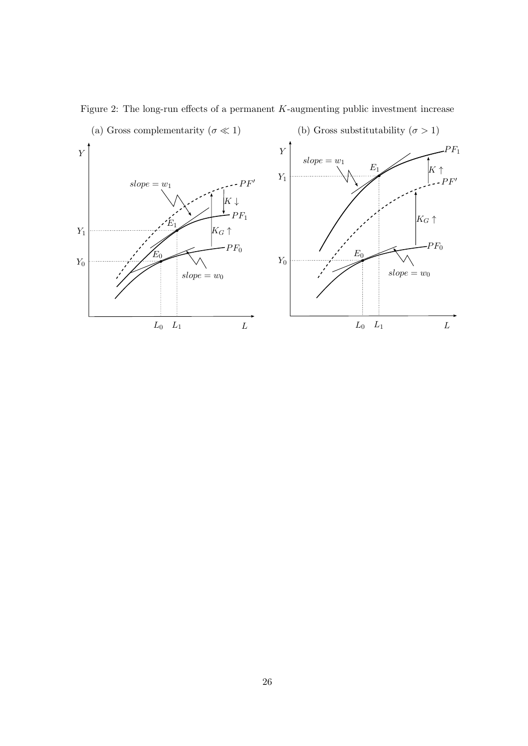

Figure 2: The long-run effects of a permanent  $K$ -augmenting public investment increase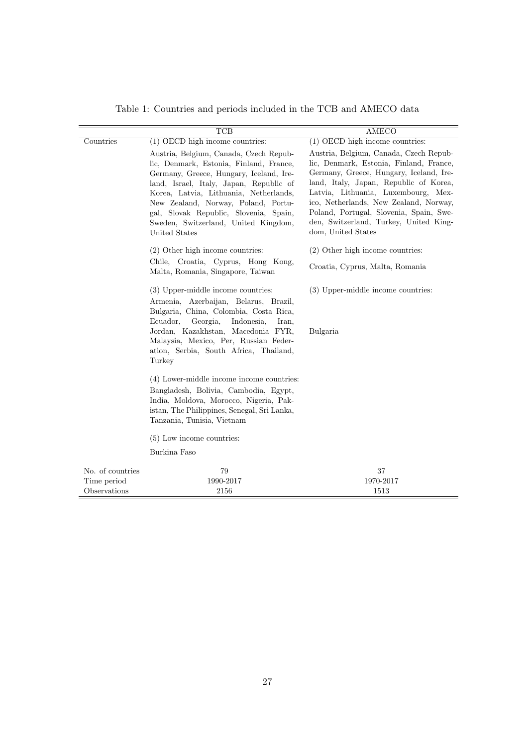|                                                 | $\overline{\text{TCB}}$                                                                                                                                                                                                                                                                                                                                     | AMECO                                                                                                                                                                                                                                                                                                                                                              |  |  |  |
|-------------------------------------------------|-------------------------------------------------------------------------------------------------------------------------------------------------------------------------------------------------------------------------------------------------------------------------------------------------------------------------------------------------------------|--------------------------------------------------------------------------------------------------------------------------------------------------------------------------------------------------------------------------------------------------------------------------------------------------------------------------------------------------------------------|--|--|--|
| Countries                                       | $(1)$ OECD high income countries:                                                                                                                                                                                                                                                                                                                           | $(1)$ OECD high income countries:                                                                                                                                                                                                                                                                                                                                  |  |  |  |
|                                                 | Austria, Belgium, Canada, Czech Repub-<br>lic, Denmark, Estonia, Finland, France,<br>Germany, Greece, Hungary, Iceland, Ire-<br>land, Israel, Italy, Japan, Republic of<br>Korea, Latvia, Lithuania, Netherlands,<br>New Zealand, Norway, Poland, Portu-<br>gal, Slovak Republic, Slovenia, Spain,<br>Sweden, Switzerland, United Kingdom,<br>United States | Austria, Belgium, Canada, Czech Repub-<br>lic, Denmark, Estonia, Finland, France,<br>Germany, Greece, Hungary, Iceland, Ire-<br>land, Italy, Japan, Republic of Korea,<br>Latvia, Lithuania, Luxembourg, Mex-<br>ico, Netherlands, New Zealand, Norway,<br>Poland, Portugal, Slovenia, Spain, Swe-<br>den, Switzerland, Turkey, United King-<br>dom, United States |  |  |  |
|                                                 | $(2)$ Other high income countries:                                                                                                                                                                                                                                                                                                                          | $(2)$ Other high income countries:                                                                                                                                                                                                                                                                                                                                 |  |  |  |
|                                                 | Chile, Croatia, Cyprus, Hong Kong,<br>Malta, Romania, Singapore, Taiwan                                                                                                                                                                                                                                                                                     | Croatia, Cyprus, Malta, Romania                                                                                                                                                                                                                                                                                                                                    |  |  |  |
|                                                 | (3) Upper-middle income countries:<br>Armenia, Azerbaijan, Belarus, Brazil,<br>Bulgaria, China, Colombia, Costa Rica,<br>Ecuador,<br>Georgia,<br>Indonesia,<br>Iran,<br>Jordan, Kazakhstan, Macedonia FYR,<br>Malaysia, Mexico, Per, Russian Feder-<br>ation, Serbia, South Africa, Thailand,<br>Turkey                                                     | (3) Upper-middle income countries:<br>Bulgaria                                                                                                                                                                                                                                                                                                                     |  |  |  |
|                                                 | (4) Lower-middle income income countries:<br>Bangladesh, Bolivia, Cambodia, Egypt,<br>India, Moldova, Morocco, Nigeria, Pak-<br>istan, The Philippines, Senegal, Sri Lanka,<br>Tanzania, Tunisia, Vietnam                                                                                                                                                   |                                                                                                                                                                                                                                                                                                                                                                    |  |  |  |
|                                                 | $(5)$ Low income countries:                                                                                                                                                                                                                                                                                                                                 |                                                                                                                                                                                                                                                                                                                                                                    |  |  |  |
|                                                 | Burkina Faso                                                                                                                                                                                                                                                                                                                                                |                                                                                                                                                                                                                                                                                                                                                                    |  |  |  |
| No. of countries<br>Time period<br>Observations | 79<br>1990-2017<br>2156                                                                                                                                                                                                                                                                                                                                     | 37<br>1970-2017<br>1513                                                                                                                                                                                                                                                                                                                                            |  |  |  |

Table 1: Countries and periods included in the TCB and AMECO data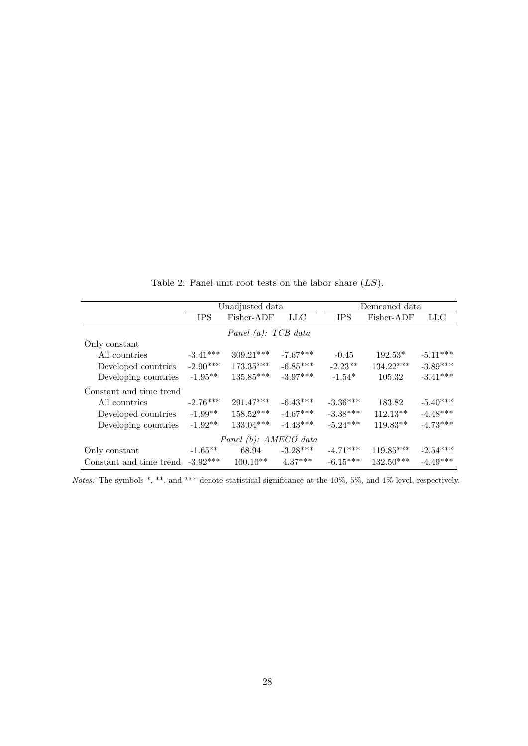Table 2: Panel unit root tests on the labor share  $(LS)$ .

|                          |            | Unadjusted data        |            | Demeaned data |             |            |  |  |
|--------------------------|------------|------------------------|------------|---------------|-------------|------------|--|--|
|                          | <b>IPS</b> | Fisher-ADF             | LLC        | <b>IPS</b>    | Fisher-ADF  | LLC        |  |  |
|                          |            | Panel $(a)$ : TCB data |            |               |             |            |  |  |
| Only constant            |            |                        |            |               |             |            |  |  |
| All countries            | $-3.41***$ | $309.21***$            | $-7.67***$ | $-0.45$       | $192.53*$   | $-5.11***$ |  |  |
| Developed countries      | $-2.90***$ | $173.35***$            | $-6.85***$ | $-2.23**$     | $134.22***$ | $-3.89***$ |  |  |
| Developing countries     | $-1.95**$  | $135.85***$            | $-3.97***$ | $-1.54*$      | 105.32      | $-3.41***$ |  |  |
| Constant and time trend  |            |                        |            |               |             |            |  |  |
| All countries            | $-2.76***$ | $291.47***$            | $-6.43***$ | $-3.36***$    | 183.82      | $-5.40***$ |  |  |
| Developed countries      | $-1.99**$  | $158.52***$            | $-4.67***$ | $-3.38***$    | $112.13**$  | $-4.48***$ |  |  |
| Developing countries     | $-1.92**$  | $133.04***$            | $-4.43***$ | $-5.24***$    | $119.83**$  | $-4.73***$ |  |  |
| Panel $(b)$ : AMECO data |            |                        |            |               |             |            |  |  |
| Only constant            | $-1.65**$  | 68.94                  | $-3.28***$ | $-4.71***$    | $119.85***$ | $-2.54***$ |  |  |
| Constant and time trend  | $-3.92***$ | $100.10**$             | $4.37***$  | $-6.15***$    | $132.50***$ | $-4.49***$ |  |  |

Notes: The symbols \*, \*\*, and \*\*\* denote statistical significance at the 10%, 5%, and 1% level, respectively.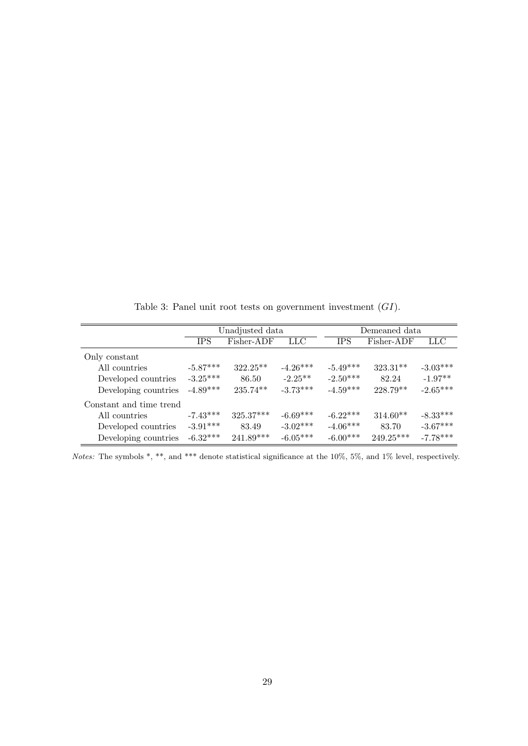Unadjusted data Demeaned data IPS Fisher-ADF LLC IPS Fisher-ADF LLC Only constant All countries  $-5.87***$   $322.25***$   $-4.26***$   $-5.49***$   $323.31**$   $-3.03***$ Developed countries  $-3.25***$  86.50  $-2.25***$   $-2.50***$  82.24  $-1.97**$ <br>Developing countries  $-4.89***$  235.74\*\*  $-3.73***$   $-4.59***$  228.79\*\*  $-2.65***$ Developing countries  $-4.89***$  235.74\*\* Constant and time trend  $\begin{tabular}{lcccccc} All countries & -7.43^{***} & 325.37^{***} & -6.69^{***} & -6.22^{***} & 314.60^{**} & -8.33^{***} \\ Development: 8 & -3.91^{***} & 83.49 & -3.02^{***} & -4.06^{***} & 83.70 & -3.67^{***} \\ \end{tabular}$ Developed countries -3.91\*\*\* 83.49 -3.02\*\*\* -4.06\*\*\* 83.70 -3.67\*\*\*<br>Developing countries -6.32\*\*\* 241.89\*\*\* -6.05\*\*\* -6.00\*\*\* 249.25\*\*\* -7.78\*\*\* Developing countries  $-6.32***$  241.89\*\*\*  $-6.05***$   $-6.00***$  249.25\*\*\*

Table 3: Panel unit root tests on government investment  $(GI)$ .

Notes: The symbols \*, \*\*, and \*\*\* denote statistical significance at the 10%, 5%, and 1% level, respectively.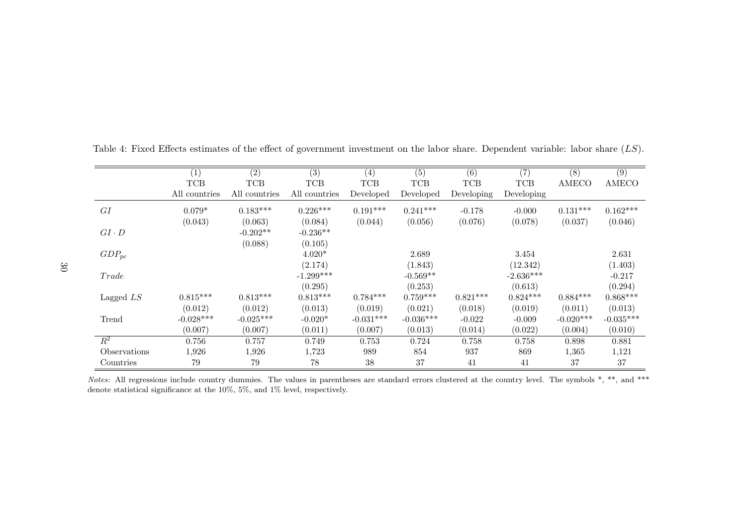|              | (1)           | (2)           | (3)           | (4)         | (5)         | (6)        | (7)         | (8)         | (9)          |
|--------------|---------------|---------------|---------------|-------------|-------------|------------|-------------|-------------|--------------|
|              | <b>TCB</b>    | <b>TCB</b>    | <b>TCB</b>    | <b>TCB</b>  | <b>TCB</b>  | <b>TCB</b> | <b>TCB</b>  | AMECO       | <b>AMECO</b> |
|              | All countries | All countries | All countries | Developed   | Developed   | Developing | Developing  |             |              |
| GI           | $0.079*$      | $0.183***$    | $0.226***$    | $0.191***$  | $0.241***$  | $-0.178$   | $-0.000$    | $0.131***$  | $0.162***$   |
|              | (0.043)       | (0.063)       | (0.084)       | (0.044)     | (0.056)     | (0.076)    | (0.078)     | (0.037)     | (0.046)      |
| $GI \cdot D$ |               | $-0.202**$    | $-0.236**$    |             |             |            |             |             |              |
|              |               | (0.088)       | (0.105)       |             |             |            |             |             |              |
| $GDP_{pc}$   |               |               | $4.020*$      |             | 2.689       |            | 3.454       |             | 2.631        |
|              |               |               | (2.174)       |             | (1.843)     |            | (12.342)    |             | (1.403)      |
| Trade        |               |               | $-1.299***$   |             | $-0.569**$  |            | $-2.636***$ |             | $-0.217$     |
|              |               |               | (0.295)       |             | (0.253)     |            | (0.613)     |             | (0.294)      |
| Lagged $LS$  | $0.815***$    | $0.813***$    | $0.813***$    | $0.784***$  | $0.759***$  | $0.821***$ | $0.824***$  | $0.884***$  | $0.868***$   |
|              | (0.012)       | (0.012)       | (0.013)       | (0.019)     | (0.021)     | (0.018)    | (0.019)     | (0.011)     | (0.013)      |
| Trend        | $-0.028***$   | $-0.025***$   | $-0.020*$     | $-0.031***$ | $-0.036***$ | $-0.022$   | $-0.009$    | $-0.020***$ | $-0.035***$  |
|              | (0.007)       | (0.007)       | (0.011)       | (0.007)     | (0.013)     | (0.014)    | (0.022)     | (0.004)     | (0.010)      |
| $R^2$        | 0.756         | 0.757         | 0.749         | 0.753       | 0.724       | 0.758      | 0.758       | 0.898       | 0.881        |
| Observations | 1,926         | 1,926         | 1,723         | 989         | 854         | 937        | 869         | 1,365       | 1,121        |
| Countries    | 79            | 79            | 78            | 38          | 37          | 41         | 41          | 37          | 37           |

Table 4: Fixed Effects estimates of the effect of government investment on the labor share. Dependent variable: labor share  $(LS)$ .

Notes: All regressions include country dummies. The values in parentheses are standard errors clustered at the country level. The symbols  $*, **$ , and  $***$ denote statistical significance at the 10%, 5%, and 1% level, respectively.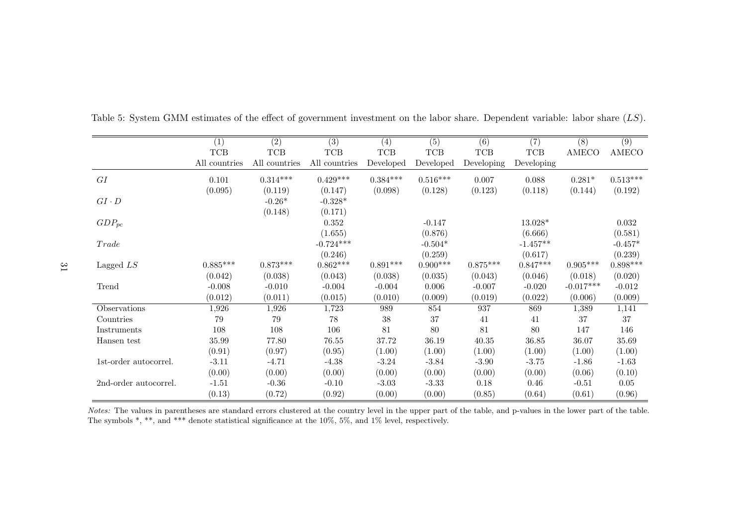|                       | (1)           | (2)             | (3)           | (4)        | (5)        | (6)        | (7)        | (8)          | (9)          |
|-----------------------|---------------|-----------------|---------------|------------|------------|------------|------------|--------------|--------------|
|                       | $TCB$         | $_{\rm TCB}$    | <b>TCB</b>    | <b>TCB</b> | <b>TCB</b> | <b>TCB</b> | <b>TCB</b> | <b>AMECO</b> | <b>AMECO</b> |
|                       | All countries | All countries   | All countries | Developed  | Developed  | Developing | Developing |              |              |
| ${\cal G}{\cal I}$    | 0.101         | $0.314^{***}\;$ | $0.429***$    | $0.384***$ | $0.516***$ | 0.007      | 0.088      | $0.281*$     | $0.513***$   |
|                       | (0.095)       | (0.119)         | (0.147)       | (0.098)    | (0.128)    | (0.123)    | (0.118)    | (0.144)      | (0.192)      |
| $GI \cdot D$          |               | $-0.26*$        | $-0.328*$     |            |            |            |            |              |              |
|                       |               | (0.148)         | (0.171)       |            |            |            |            |              |              |
| $GDP_{pc}$            |               |                 | 0.352         |            | $-0.147$   |            | 13.028*    |              | 0.032        |
|                       |               |                 | (1.655)       |            | (0.876)    |            | (6.666)    |              | (0.581)      |
| Trade                 |               |                 | $-0.724***$   |            | $-0.504*$  |            | $-1.457**$ |              | $-0.457*$    |
|                       |               |                 | (0.246)       |            | (0.259)    |            | (0.617)    |              | (0.239)      |
| Lagged $LS$           | $0.885***$    | $0.873***$      | $0.862***$    | $0.891***$ | $0.900***$ | $0.875***$ | $0.847***$ | $0.905***$   | $0.898***$   |
|                       | (0.042)       | (0.038)         | (0.043)       | (0.038)    | (0.035)    | (0.043)    | (0.046)    | (0.018)      | (0.020)      |
| Trend                 | $-0.008$      | $-0.010$        | $-0.004$      | $-0.004$   | 0.006      | $-0.007$   | $-0.020$   | $-0.017***$  | $-0.012$     |
|                       | (0.012)       | (0.011)         | (0.015)       | (0.010)    | (0.009)    | (0.019)    | (0.022)    | (0.006)      | (0.009)      |
| Observations          | 1,926         | 1,926           | 1,723         | 989        | 854        | 937        | 869        | 1,389        | 1,141        |
| Countries             | 79            | 79              | 78            | 38         | 37         | 41         | 41         | 37           | 37           |
| Instruments           | 108           | 108             | 106           | 81         | 80         | 81         | 80         | 147          | 146          |
| Hansen test           | 35.99         | 77.80           | 76.55         | 37.72      | 36.19      | 40.35      | 36.85      | 36.07        | 35.69        |
|                       | (0.91)        | (0.97)          | (0.95)        | (1.00)     | (1.00)     | (1.00)     | (1.00)     | (1.00)       | (1.00)       |
| 1st-order autocorrel. | $-3.11$       | $-4.71$         | $-4.38$       | $-3.24$    | $-3.84$    | $-3.90$    | $-3.75$    | $-1.86$      | $-1.63$      |
|                       | (0.00)        | (0.00)          | (0.00)        | (0.00)     | (0.00)     | (0.00)     | (0.00)     | (0.06)       | (0.10)       |
| 2nd-order autocorrel. | $-1.51$       | $-0.36$         | $-0.10$       | $-3.03$    | $-3.33$    | 0.18       | 0.46       | $-0.51$      | $0.05\,$     |
|                       | (0.13)        | (0.72)          | (0.92)        | (0.00)     | (0.00)     | (0.85)     | (0.64)     | (0.61)       | (0.96)       |

Table 5: System GMM estimates of the effect of government investment on the labor share. Dependent variable: labor share  $(LS)$ .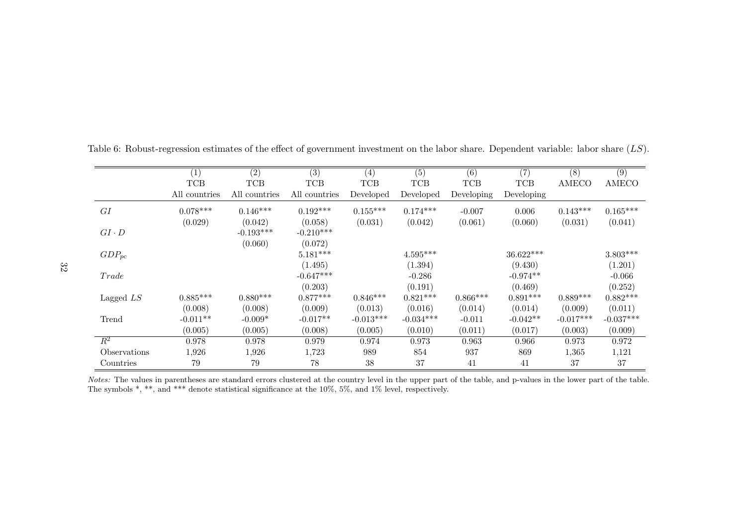|              | $\left( 1\right)$ | (2)           | (3)           | (4)         | (5)         | (6)        | (7)        | (8)          | (9)         |
|--------------|-------------------|---------------|---------------|-------------|-------------|------------|------------|--------------|-------------|
|              | <b>TCB</b>        | $TCB$         | <b>TCB</b>    | <b>TCB</b>  | <b>TCB</b>  | <b>TCB</b> | <b>TCB</b> | <b>AMECO</b> | AMECO       |
|              | All countries     | All countries | All countries | Developed   | Developed   | Developing | Developing |              |             |
| GI           | $0.078***$        | $0.146***$    | $0.192***$    | $0.155***$  | $0.174***$  | $-0.007$   | 0.006      | $0.143***$   | $0.165***$  |
|              | (0.029)           | (0.042)       | (0.058)       | (0.031)     | (0.042)     | (0.061)    | (0.060)    | (0.031)      | (0.041)     |
| $GI \cdot D$ |                   | $-0.193***$   | $-0.210***$   |             |             |            |            |              |             |
|              |                   | (0.060)       | (0.072)       |             |             |            |            |              |             |
| $GDP_{pc}$   |                   |               | $5.181***$    |             | $4.595***$  |            | 36.622***  |              | $3.803***$  |
|              |                   |               | (1.495)       |             | (1.394)     |            | (9.430)    |              | (1.201)     |
| Trade        |                   |               | $-0.647***$   |             | $-0.286$    |            | $-0.974**$ |              | $-0.066$    |
|              |                   |               | (0.203)       |             | (0.191)     |            | (0.469)    |              | (0.252)     |
| Lagged $LS$  | $0.885***$        | $0.880***$    | $0.877***$    | $0.846***$  | $0.821***$  | $0.866***$ | $0.891***$ | $0.889***$   | $0.882***$  |
|              | (0.008)           | (0.008)       | (0.009)       | (0.013)     | (0.016)     | (0.014)    | (0.014)    | (0.009)      | (0.011)     |
| Trend        | $-0.011**$        | $-0.009*$     | $-0.017**$    | $-0.013***$ | $-0.034***$ | $-0.011$   | $-0.042**$ | $-0.017***$  | $-0.037***$ |
|              | (0.005)           | (0.005)       | (0.008)       | (0.005)     | (0.010)     | (0.011)    | (0.017)    | (0.003)      | (0.009)     |
| $R^2$        | 0.978             | 0.978         | 0.979         | 0.974       | 0.973       | 0.963      | 0.966      | 0.973        | 0.972       |
| Observations | 1,926             | 1,926         | 1,723         | 989         | 854         | 937        | 869        | 1,365        | 1,121       |
| Countries    | 79                | 79            | 78            | 38          | 37          | 41         | 41         | 37           | 37          |

Table 6: Robust-regression estimates of the effect of government investment on the labor share. Dependent variable: labor share  $(LS)$ .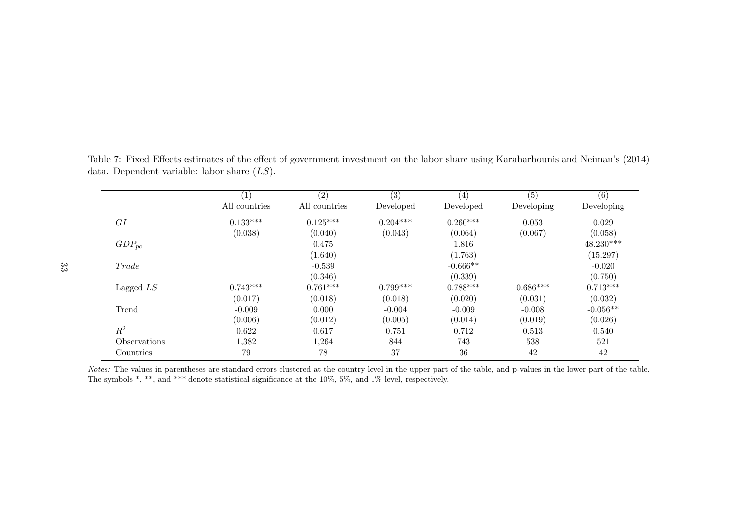|                     | $\left(1\right)$ | (2)           | (3)        | (4)        | (5)        | (6)         |
|---------------------|------------------|---------------|------------|------------|------------|-------------|
|                     | All countries    | All countries | Developed  | Developed  | Developing | Developing  |
| GI                  | $0.133***$       | $0.125***$    | $0.204***$ | $0.260***$ | 0.053      | 0.029       |
|                     | (0.038)          | (0.040)       | (0.043)    | (0.064)    | (0.067)    | (0.058)     |
| $GDP_{pc}$          |                  | 0.475         |            | 1.816      |            | $48.230***$ |
|                     |                  | (1.640)       |            | (1.763)    |            | (15.297)    |
| Trade               |                  | $-0.539$      |            | $-0.666**$ |            | $-0.020$    |
|                     |                  | (0.346)       |            | (0.339)    |            | (0.750)     |
| Lagged $LS$         | $0.743***$       | $0.761***$    | $0.799***$ | $0.788***$ | $0.686***$ | $0.713***$  |
|                     | (0.017)          | (0.018)       | (0.018)    | (0.020)    | (0.031)    | (0.032)     |
| Trend               | $-0.009$         | 0.000         | $-0.004$   | $-0.009$   | $-0.008$   | $-0.056**$  |
|                     | (0.006)          | (0.012)       | (0.005)    | (0.014)    | (0.019)    | (0.026)     |
| $\,R^2$             | 0.622            | 0.617         | 0.751      | 0.712      | 0.513      | 0.540       |
| <i>Observations</i> | 1,382            | 1,264         | 844        | 743        | 538        | 521         |
| Countries           | 79               | 78            | 37         | $36\,$     | 42         | 42          |

Table 7: Fixed Effects estimates of the effect of government investment on the labor share using Karabarbounis and Neiman's (2014) data. Dependent variable: labor share  $(LS)$ .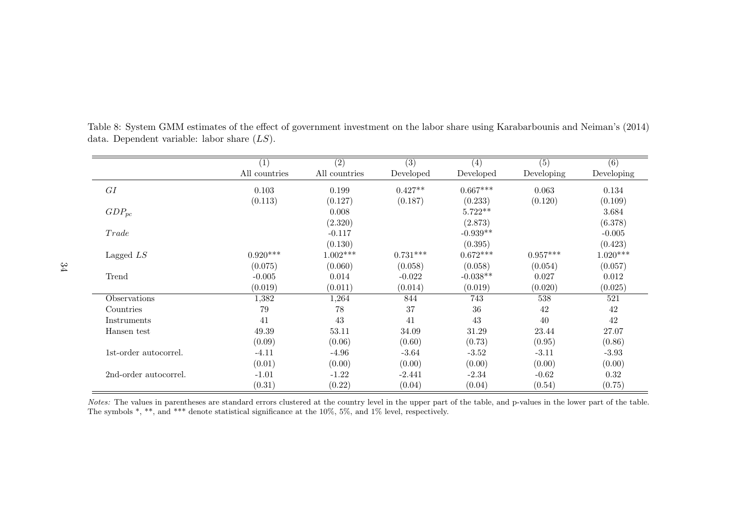Table 8: System GMM estimates of the effect of government investment on the labor share using Karabarbounis and Neiman's (2014) data. Dependent variable: labor share  $(LS)$ .

|                       | (1)           | (2)           | (3)        | (4)        | (5)        | (6)        |
|-----------------------|---------------|---------------|------------|------------|------------|------------|
|                       | All countries | All countries | Developed  | Developed  | Developing | Developing |
| GI                    | 0.103         | 0.199         | $0.427**$  | $0.667***$ | 0.063      | 0.134      |
|                       | (0.113)       | (0.127)       | (0.187)    | (0.233)    | (0.120)    | (0.109)    |
| $GDP_{pc}$            |               | 0.008         |            | $5.722**$  |            | 3.684      |
|                       |               | (2.320)       |            | (2.873)    |            | (6.378)    |
| Trade                 |               | $-0.117$      |            | $-0.939**$ |            | $-0.005$   |
|                       |               | (0.130)       |            | (0.395)    |            | (0.423)    |
| Lagged $LS$           | $0.920***$    | $1.002***$    | $0.731***$ | $0.672***$ | $0.957***$ | $1.020***$ |
|                       | (0.075)       | (0.060)       | (0.058)    | (0.058)    | (0.054)    | (0.057)    |
| Trend                 | $-0.005$      | 0.014         | $-0.022$   | $-0.038**$ | 0.027      | 0.012      |
|                       | (0.019)       | (0.011)       | (0.014)    | (0.019)    | (0.020)    | (0.025)    |
| Observations          | 1,382         | 1,264         | 844        | 743        | 538        | 521        |
| Countries             | 79            | 78            | 37         | 36         | 42         | 42         |
| Instruments           | 41            | 43            | 41         | 43         | 40         | 42         |
| Hansen test           | 49.39         | 53.11         | 34.09      | 31.29      | 23.44      | 27.07      |
|                       | (0.09)        | (0.06)        | (0.60)     | (0.73)     | (0.95)     | (0.86)     |
| 1st-order autocorrel. | $-4.11$       | $-4.96$       | $-3.64$    | $-3.52$    | $-3.11$    | $-3.93$    |
|                       | (0.01)        | (0.00)        | (0.00)     | (0.00)     | (0.00)     | (0.00)     |
| 2nd-order autocorrel. | $-1.01$       | $-1.22$       | $-2.441$   | $-2.34$    | $-0.62$    | 0.32       |
|                       | (0.31)        | (0.22)        | (0.04)     | (0.04)     | (0.54)     | (0.75)     |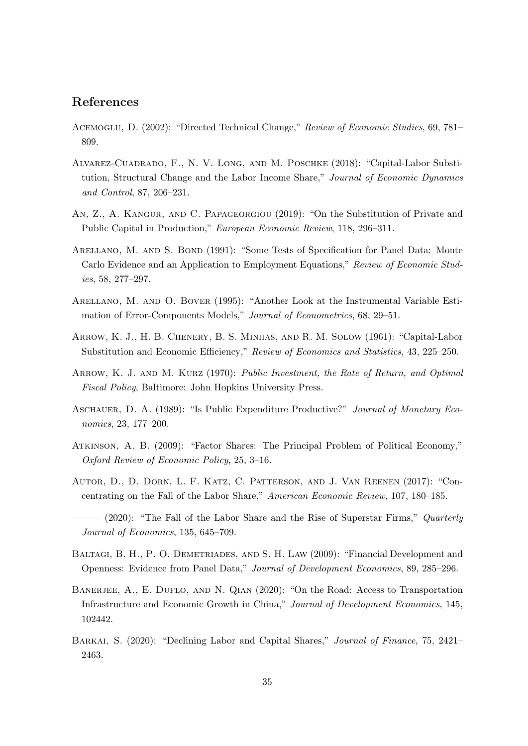## References

- Acemoglu, D. (2002): "Directed Technical Change," Review of Economic Studies, 69, 781– 809.
- Alvarez-Cuadrado, F., N. V. Long, and M. Poschke (2018): "Capital-Labor Substitution, Structural Change and the Labor Income Share," Journal of Economic Dynamics and Control, 87, 206–231.
- An, Z., A. Kangur, and C. Papageorgiou (2019): "On the Substitution of Private and Public Capital in Production," European Economic Review, 118, 296–311.
- Arellano, M. and S. Bond (1991): "Some Tests of Specification for Panel Data: Monte Carlo Evidence and an Application to Employment Equations," Review of Economic Studies, 58, 277–297.
- Arellano, M. and O. Bover (1995): "Another Look at the Instrumental Variable Estimation of Error-Components Models," Journal of Econometrics, 68, 29–51.
- Arrow, K. J., H. B. Chenery, B. S. Minhas, and R. M. Solow (1961): "Capital-Labor Substitution and Economic Efficiency," Review of Economics and Statistics, 43, 225–250.
- ARROW, K. J. AND M. KURZ (1970): Public Investment, the Rate of Return, and Optimal Fiscal Policy, Baltimore: John Hopkins University Press.
- ASCHAUER, D. A. (1989): "Is Public Expenditure Productive?" Journal of Monetary Economics, 23, 177–200.
- Atkinson, A. B. (2009): "Factor Shares: The Principal Problem of Political Economy," Oxford Review of Economic Policy, 25, 3–16.
- Autor, D., D. Dorn, L. F. Katz, C. Patterson, and J. Van Reenen (2017): "Concentrating on the Fall of the Labor Share," American Economic Review, 107, 180–185.

 $-$  (2020): "The Fall of the Labor Share and the Rise of Superstar Firms," Quarterly Journal of Economics, 135, 645–709.

- Baltagi, B. H., P. O. Demetriades, and S. H. Law (2009): "Financial Development and Openness: Evidence from Panel Data," Journal of Development Economics, 89, 285–296.
- BANERJEE, A., E. DUFLO, AND N. QIAN (2020): "On the Road: Access to Transportation Infrastructure and Economic Growth in China," Journal of Development Economics, 145, 102442.
- BARKAI, S. (2020): "Declining Labor and Capital Shares," *Journal of Finance*, 75, 2421– 2463.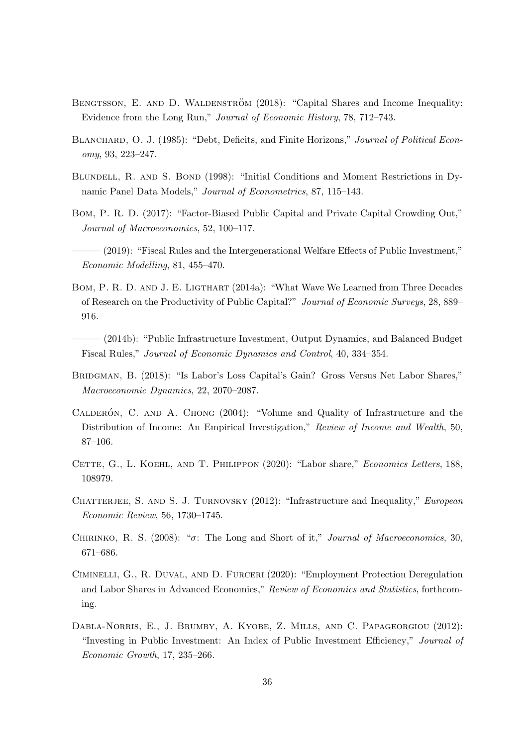- BENGTSSON, E. AND D. WALDENSTRÖM (2018): "Capital Shares and Income Inequality: Evidence from the Long Run," Journal of Economic History, 78, 712–743.
- BLANCHARD, O. J. (1985): "Debt, Deficits, and Finite Horizons," Journal of Political Economy, 93, 223–247.
- BLUNDELL, R. AND S. BOND (1998): "Initial Conditions and Moment Restrictions in Dynamic Panel Data Models," Journal of Econometrics, 87, 115–143.
- Bom, P. R. D. (2017): "Factor-Biased Public Capital and Private Capital Crowding Out," Journal of Macroeconomics, 52, 100–117.
- ——— (2019): "Fiscal Rules and the Intergenerational Welfare Effects of Public Investment," Economic Modelling, 81, 455–470.
- Bom, P. R. D. and J. E. Ligthart (2014a): "What Wave We Learned from Three Decades of Research on the Productivity of Public Capital?" Journal of Economic Surveys, 28, 889– 916.
- ——— (2014b): "Public Infrastructure Investment, Output Dynamics, and Balanced Budget Fiscal Rules," Journal of Economic Dynamics and Control, 40, 334–354.
- BRIDGMAN, B. (2018): "Is Labor's Loss Capital's Gain? Gross Versus Net Labor Shares," Macroeconomic Dynamics, 22, 2070–2087.
- CALDERÓN, C. AND A. CHONG (2004): "Volume and Quality of Infrastructure and the Distribution of Income: An Empirical Investigation," Review of Income and Wealth, 50, 87–106.
- CETTE, G., L. KOEHL, AND T. PHILIPPON (2020): "Labor share," Economics Letters, 188, 108979.
- CHATTERJEE, S. AND S. J. TURNOVSKY (2012): "Infrastructure and Inequality," European Economic Review, 56, 1730–1745.
- CHIRINKO, R. S. (2008): " $\sigma$ : The Long and Short of it," *Journal of Macroeconomics*, 30, 671–686.
- Ciminelli, G., R. Duval, and D. Furceri (2020): "Employment Protection Deregulation and Labor Shares in Advanced Economies," Review of Economics and Statistics, forthcoming.
- Dabla-Norris, E., J. Brumby, A. Kyobe, Z. Mills, and C. Papageorgiou (2012): "Investing in Public Investment: An Index of Public Investment Efficiency," Journal of Economic Growth, 17, 235–266.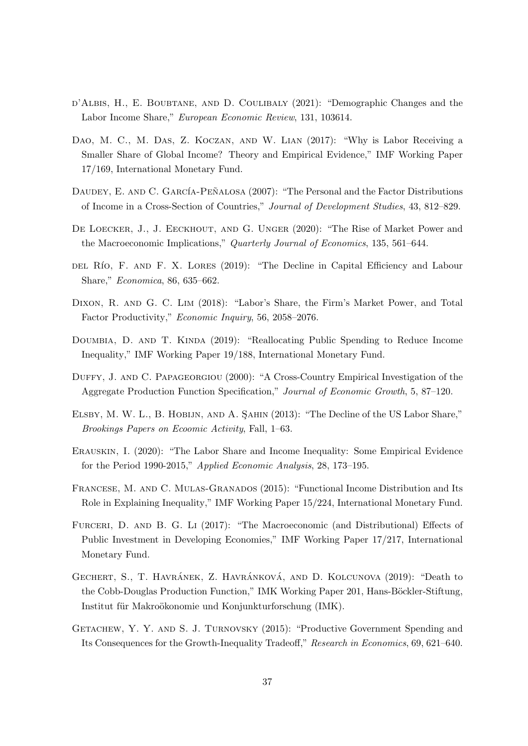- d'Albis, H., E. Boubtane, and D. Coulibaly (2021): "Demographic Changes and the Labor Income Share," European Economic Review, 131, 103614.
- Dao, M. C., M. Das, Z. Koczan, and W. Lian (2017): "Why is Labor Receiving a Smaller Share of Global Income? Theory and Empirical Evidence," IMF Working Paper 17/169, International Monetary Fund.
- DAUDEY, E. AND C. GARCÍA-PEÑALOSA (2007): "The Personal and the Factor Distributions of Income in a Cross-Section of Countries," Journal of Development Studies, 43, 812–829.
- DE LOECKER, J., J. EECKHOUT, AND G. UNGER (2020): "The Rise of Market Power and the Macroeconomic Implications," Quarterly Journal of Economics, 135, 561–644.
- DEL RÍO, F. AND F. X. LORES (2019): "The Decline in Capital Efficiency and Labour Share," Economica, 86, 635–662.
- Dixon, R. and G. C. Lim (2018): "Labor's Share, the Firm's Market Power, and Total Factor Productivity," Economic Inquiry, 56, 2058–2076.
- DOUMBIA, D. AND T. KINDA (2019): "Reallocating Public Spending to Reduce Income Inequality," IMF Working Paper 19/188, International Monetary Fund.
- DUFFY, J. AND C. PAPAGEORGIOU (2000): "A Cross-Country Empirical Investigation of the Aggregate Production Function Specification," Journal of Economic Growth, 5, 87–120.
- ELSBY, M. W. L., B. HOBIJN, AND A. SAHIN (2013): "The Decline of the US Labor Share," Brookings Papers on Ecoomic Activity, Fall, 1–63.
- Erauskin, I. (2020): "The Labor Share and Income Inequality: Some Empirical Evidence for the Period 1990-2015," Applied Economic Analysis, 28, 173–195.
- FRANCESE, M. AND C. MULAS-GRANADOS (2015): "Functional Income Distribution and Its Role in Explaining Inequality," IMF Working Paper 15/224, International Monetary Fund.
- FURCERI, D. AND B. G. Li (2017): "The Macroeconomic (and Distributional) Effects of Public Investment in Developing Economies," IMF Working Paper 17/217, International Monetary Fund.
- GECHERT, S., T. HAVRÁNEK, Z. HAVRÁNKOVÁ, AND D. KOLCUNOVA (2019): "Death to the Cobb-Douglas Production Function," IMK Working Paper 201, Hans-Böckler-Stiftung, Institut für Makroökonomie und Konjunkturforschung (IMK).
- GETACHEW, Y. Y. AND S. J. TURNOVSKY (2015): "Productive Government Spending and Its Consequences for the Growth-Inequality Tradeoff," Research in Economics, 69, 621–640.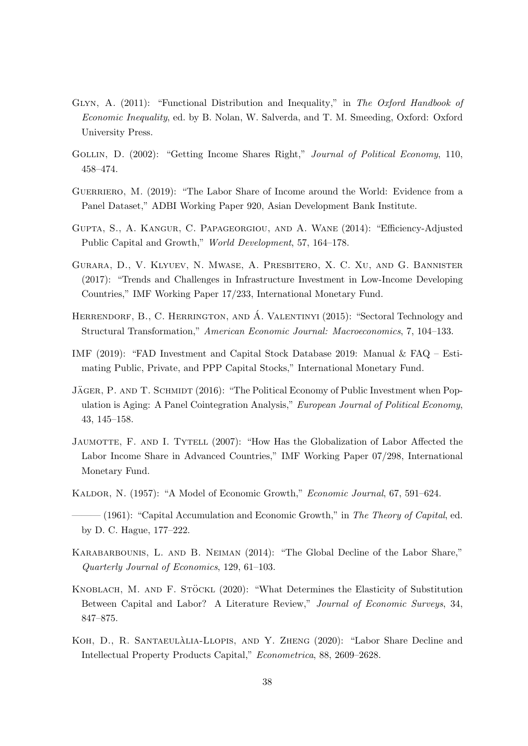- GLYN, A. (2011): "Functional Distribution and Inequality," in The Oxford Handbook of Economic Inequality, ed. by B. Nolan, W. Salverda, and T. M. Smeeding, Oxford: Oxford University Press.
- GOLLIN, D. (2002): "Getting Income Shares Right," Journal of Political Economy, 110, 458–474.
- GUERRIERO, M. (2019): "The Labor Share of Income around the World: Evidence from a Panel Dataset," ADBI Working Paper 920, Asian Development Bank Institute.
- Gupta, S., A. Kangur, C. Papageorgiou, and A. Wane (2014): "Efficiency-Adjusted Public Capital and Growth," World Development, 57, 164–178.
- Gurara, D., V. Klyuev, N. Mwase, A. Presbitero, X. C. Xu, and G. Bannister (2017): "Trends and Challenges in Infrastructure Investment in Low-Income Developing Countries," IMF Working Paper 17/233, International Monetary Fund.
- HERRENDORF, B., C. HERRINGTON, AND  $\hat{A}$ . VALENTINYI (2015): "Sectoral Technology and Structural Transformation," American Economic Journal: Macroeconomics, 7, 104–133.
- IMF (2019): "FAD Investment and Capital Stock Database 2019: Manual & FAQ Estimating Public, Private, and PPP Capital Stocks," International Monetary Fund.
- JÄGER, P. AND T. SCHMIDT (2016): "The Political Economy of Public Investment when Population is Aging: A Panel Cointegration Analysis," European Journal of Political Economy, 43, 145–158.
- JAUMOTTE, F. AND I. TYTELL (2007): "How Has the Globalization of Labor Affected the Labor Income Share in Advanced Countries," IMF Working Paper 07/298, International Monetary Fund.
- Kaldor, N. (1957): "A Model of Economic Growth," Economic Journal, 67, 591–624.
- $-(1961)$ : "Capital Accumulation and Economic Growth," in The Theory of Capital, ed. by D. C. Hague, 177–222.
- Karabarbounis, L. and B. Neiman (2014): "The Global Decline of the Labor Share," Quarterly Journal of Economics, 129, 61–103.
- KNOBLACH, M. AND F. STÖCKL (2020): "What Determines the Elasticity of Substitution Between Capital and Labor? A Literature Review," Journal of Economic Surveys, 34, 847–875.
- KOH, D., R. SANTAEULALIA-LLOPIS, AND Y. ZHENG (2020): "Labor Share Decline and Intellectual Property Products Capital," Econometrica, 88, 2609–2628.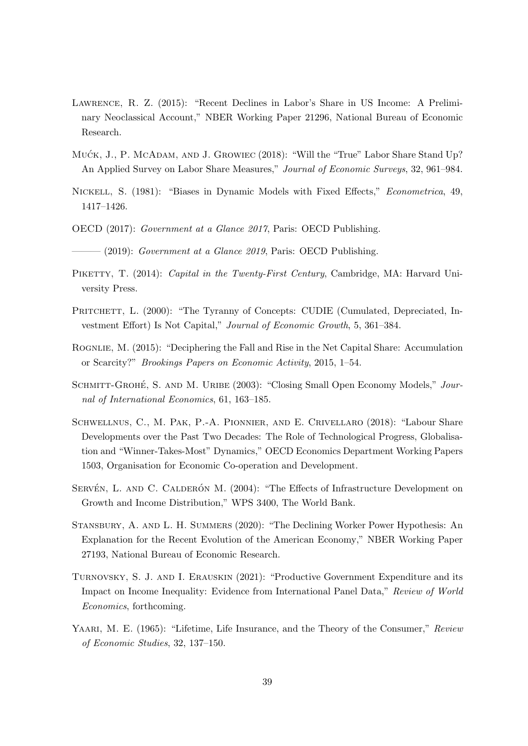- Lawrence, R. Z. (2015): "Recent Declines in Labor's Share in US Income: A Preliminary Neoclassical Account," NBER Working Paper 21296, National Bureau of Economic Research.
- MUCK, J., P. MCADAM, AND J. GROWIEC (2018): "Will the "True" Labor Share Stand Up? An Applied Survey on Labor Share Measures," Journal of Economic Surveys, 32, 961–984.
- Nickell, S. (1981): "Biases in Dynamic Models with Fixed Effects," Econometrica, 49, 1417–1426.
- OECD (2017): Government at a Glance 2017, Paris: OECD Publishing.
- $(2019)$ : Government at a Glance 2019, Paris: OECD Publishing.
- PIKETTY, T. (2014): Capital in the Twenty-First Century, Cambridge, MA: Harvard University Press.
- PRITCHETT, L. (2000): "The Tyranny of Concepts: CUDIE (Cumulated, Depreciated, Investment Effort) Is Not Capital," Journal of Economic Growth, 5, 361–384.
- ROGNLIE, M. (2015): "Deciphering the Fall and Rise in the Net Capital Share: Accumulation or Scarcity?" Brookings Papers on Economic Activity, 2015, 1–54.
- SCHMITT-GROHÉ, S. AND M. URIBE (2003): "Closing Small Open Economy Models," Journal of International Economics, 61, 163–185.
- Schwellnus, C., M. Pak, P.-A. Pionnier, and E. Crivellaro (2018): "Labour Share Developments over the Past Two Decades: The Role of Technological Progress, Globalisation and "Winner-Takes-Most" Dynamics," OECD Economics Department Working Papers 1503, Organisation for Economic Co-operation and Development.
- SERVÉN, L. AND C. CALDERÓN M. (2004): "The Effects of Infrastructure Development on Growth and Income Distribution," WPS 3400, The World Bank.
- Stansbury, A. and L. H. Summers (2020): "The Declining Worker Power Hypothesis: An Explanation for the Recent Evolution of the American Economy," NBER Working Paper 27193, National Bureau of Economic Research.
- Turnovsky, S. J. and I. Erauskin (2021): "Productive Government Expenditure and its Impact on Income Inequality: Evidence from International Panel Data," Review of World Economics, forthcoming.
- YAARI, M. E. (1965): "Lifetime, Life Insurance, and the Theory of the Consumer," Review of Economic Studies, 32, 137–150.